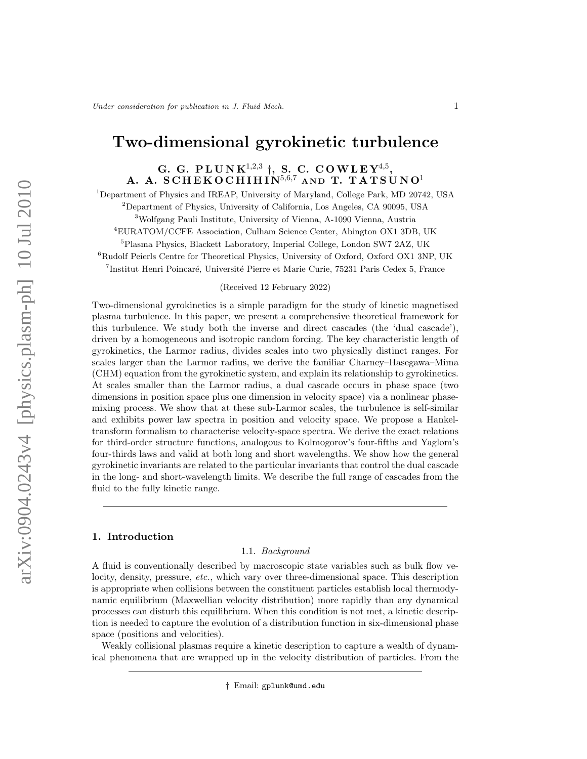# Two-dimensional gyrokinetic turbulence

# G. G. PLUNK<sup>1,2,3</sup>  $\dagger$ , S. C. COWLEY<sup>4,5</sup>, A. A. SCHEKOCHIHIN $^{5,6,7}$  and T. TATSUNO<sup>1</sup>

Department of Physics and IREAP, University of Maryland, College Park, MD 20742, USA Department of Physics, University of California, Los Angeles, CA 90095, USA Wolfgang Pauli Institute, University of Vienna, A-1090 Vienna, Austria EURATOM/CCFE Association, Culham Science Center, Abington OX1 3DB, UK Plasma Physics, Blackett Laboratory, Imperial College, London SW7 2AZ, UK <sup>6</sup>Rudolf Peierls Centre for Theoretical Physics, University of Oxford, Oxford OX1 3NP, UK

<sup>7</sup>Institut Henri Poincaré, Université Pierre et Marie Curie, 75231 Paris Cedex 5, France

# (Received 12 February 2022)

Two-dimensional gyrokinetics is a simple paradigm for the study of kinetic magnetised plasma turbulence. In this paper, we present a comprehensive theoretical framework for this turbulence. We study both the inverse and direct cascades (the 'dual cascade'), driven by a homogeneous and isotropic random forcing. The key characteristic length of gyrokinetics, the Larmor radius, divides scales into two physically distinct ranges. For scales larger than the Larmor radius, we derive the familiar Charney–Hasegawa–Mima (CHM) equation from the gyrokinetic system, and explain its relationship to gyrokinetics. At scales smaller than the Larmor radius, a dual cascade occurs in phase space (two dimensions in position space plus one dimension in velocity space) via a nonlinear phasemixing process. We show that at these sub-Larmor scales, the turbulence is self-similar and exhibits power law spectra in position and velocity space. We propose a Hankeltransform formalism to characterise velocity-space spectra. We derive the exact relations for third-order structure functions, analogous to Kolmogorov's four-fifths and Yaglom's four-thirds laws and valid at both long and short wavelengths. We show how the general gyrokinetic invariants are related to the particular invariants that control the dual cascade in the long- and short-wavelength limits. We describe the full range of cascades from the fluid to the fully kinetic range.

# 1. Introduction

#### 1.1. Background

A fluid is conventionally described by macroscopic state variables such as bulk flow velocity, density, pressure, etc., which vary over three-dimensional space. This description is appropriate when collisions between the constituent particles establish local thermodynamic equilibrium (Maxwellian velocity distribution) more rapidly than any dynamical processes can disturb this equilibrium. When this condition is not met, a kinetic description is needed to capture the evolution of a distribution function in six-dimensional phase space (positions and velocities).

Weakly collisional plasmas require a kinetic description to capture a wealth of dynamical phenomena that are wrapped up in the velocity distribution of particles. From the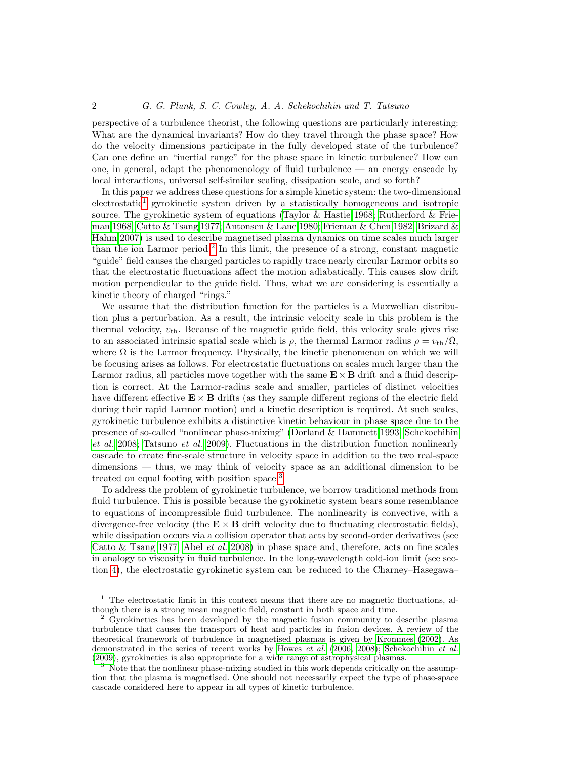perspective of a turbulence theorist, the following questions are particularly interesting: What are the dynamical invariants? How do they travel through the phase space? How do the velocity dimensions participate in the fully developed state of the turbulence? Can one define an "inertial range" for the phase space in kinetic turbulence? How can one, in general, adapt the phenomenology of fluid turbulence — an energy cascade by local interactions, universal self-similar scaling, dissipation scale, and so forth?

In this paper we address these questions for a simple kinetic system: the two-dimensional  $\alpha$  electrostatic<sup>[1](#page-1-0)</sup> gyrokinetic system driven by a statistically homogeneous and isotropic source. The gyrokinetic system of equations [\(Taylor & Hastie 1968;](#page-29-0) [Rutherford & Frie](#page-29-1)[man 1968;](#page-29-1) [Catto & Tsang 1977;](#page-28-0) [Antonsen & Lane 1980;](#page-28-1) [Frieman & Chen 1982;](#page-28-2) [Brizard &](#page-28-3) [Hahm 2007\)](#page-28-3) is used to describe magnetised plasma dynamics on time scales much larger than the ion Larmor period.<sup>[2](#page-1-1)</sup> In this limit, the presence of a strong, constant magnetic "guide" field causes the charged particles to rapidly trace nearly circular Larmor orbits so that the electrostatic fluctuations affect the motion adiabatically. This causes slow drift motion perpendicular to the guide field. Thus, what we are considering is essentially a kinetic theory of charged "rings."

We assume that the distribution function for the particles is a Maxwellian distribution plus a perturbation. As a result, the intrinsic velocity scale in this problem is the thermal velocity,  $v_{\text{th}}$ . Because of the magnetic guide field, this velocity scale gives rise to an associated intrinsic spatial scale which is  $\rho$ , the thermal Larmor radius  $\rho = v_{\text{th}}/\Omega$ , where  $\Omega$  is the Larmor frequency. Physically, the kinetic phenomenon on which we will be focusing arises as follows. For electrostatic fluctuations on scales much larger than the Larmor radius, all particles move together with the same  $\mathbf{E} \times \mathbf{B}$  drift and a fluid description is correct. At the Larmor-radius scale and smaller, particles of distinct velocities have different effective  $\mathbf{E} \times \mathbf{B}$  drifts (as they sample different regions of the electric field during their rapid Larmor motion) and a kinetic description is required. At such scales, gyrokinetic turbulence exhibits a distinctive kinetic behaviour in phase space due to the presence of so-called "nonlinear phase-mixing" [\(Dorland & Hammett 1993;](#page-28-4) [Schekochihin](#page-29-2) [et al.](#page-29-2) [2008;](#page-29-2) [Tatsuno](#page-29-3) et al. [2009\)](#page-29-3). Fluctuations in the distribution function nonlinearly cascade to create fine-scale structure in velocity space in addition to the two real-space dimensions — thus, we may think of velocity space as an additional dimension to be treated on equal footing with position space.[3](#page-1-2)

To address the problem of gyrokinetic turbulence, we borrow traditional methods from fluid turbulence. This is possible because the gyrokinetic system bears some resemblance to equations of incompressible fluid turbulence. The nonlinearity is convective, with a divergence-free velocity (the  $\mathbf{E} \times \mathbf{B}$  drift velocity due to fluctuating electrostatic fields), while dissipation occurs via a collision operator that acts by second-order derivatives (see Catto  $&$  Tsang 1977; Abel *[et al.](#page-28-5)* [2008\)](#page-28-5) in phase space and, therefore, acts on fine scales in analogy to viscosity in fluid turbulence. In the long-wavelength cold-ion limit (see section [4\)](#page-7-0), the electrostatic gyrokinetic system can be reduced to the Charney–Hasegawa–

<span id="page-1-0"></span> $<sup>1</sup>$  The electrostatic limit in this context means that there are no magnetic fluctuations, al-</sup> though there is a strong mean magnetic field, constant in both space and time.

<span id="page-1-1"></span><sup>2</sup> Gyrokinetics has been developed by the magnetic fusion community to describe plasma turbulence that causes the transport of heat and particles in fusion devices. A review of the theoretical framework of turbulence in magnetised plasmas is given by [Krommes](#page-28-6) [\(2002\)](#page-28-6). As demonstrated in the series of recent works by [Howes](#page-28-7) et al. [\(2006,](#page-28-7) [2008\)](#page-28-8); [Schekochihin](#page-29-4) et al. [\(2009\)](#page-29-4), gyrokinetics is also appropriate for a wide range of astrophysical plasmas.

<span id="page-1-2"></span>Note that the nonlinear phase-mixing studied in this work depends critically on the assumption that the plasma is magnetised. One should not necessarily expect the type of phase-space cascade considered here to appear in all types of kinetic turbulence.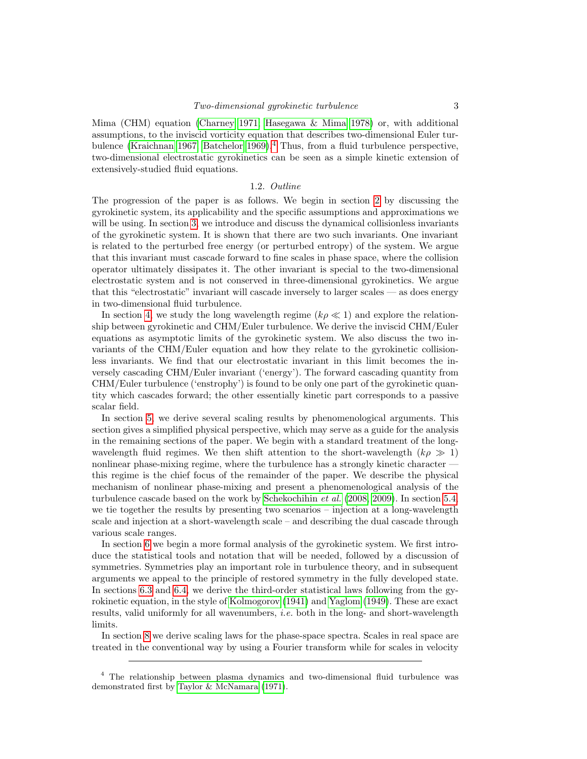Mima (CHM) equation [\(Charney 1971;](#page-28-9) [Hasegawa & Mima 1978\)](#page-28-10) or, with additional assumptions, to the inviscid vorticity equation that describes two-dimensional Euler turbulence [\(Kraichnan 1967;](#page-28-11) [Batchelor 1969\)](#page-28-12).[4](#page-2-0) Thus, from a fluid turbulence perspective, two-dimensional electrostatic gyrokinetics can be seen as a simple kinetic extension of extensively-studied fluid equations.

# 1.2. Outline

The progression of the paper is as follows. We begin in section [2](#page-3-0) by discussing the gyrokinetic system, its applicability and the specific assumptions and approximations we will be using. In section [3,](#page-5-0) we introduce and discuss the dynamical collisionless invariants of the gyrokinetic system. It is shown that there are two such invariants. One invariant is related to the perturbed free energy (or perturbed entropy) of the system. We argue that this invariant must cascade forward to fine scales in phase space, where the collision operator ultimately dissipates it. The other invariant is special to the two-dimensional electrostatic system and is not conserved in three-dimensional gyrokinetics. We argue that this "electrostatic" invariant will cascade inversely to larger scales — as does energy in two-dimensional fluid turbulence.

In section [4,](#page-7-0) we study the long wavelength regime  $(k\rho \ll 1)$  and explore the relationship between gyrokinetic and CHM/Euler turbulence. We derive the inviscid CHM/Euler equations as asymptotic limits of the gyrokinetic system. We also discuss the two invariants of the CHM/Euler equation and how they relate to the gyrokinetic collisionless invariants. We find that our electrostatic invariant in this limit becomes the inversely cascading CHM/Euler invariant ('energy'). The forward cascading quantity from CHM/Euler turbulence ('enstrophy') is found to be only one part of the gyrokinetic quantity which cascades forward; the other essentially kinetic part corresponds to a passive scalar field.

In section [5,](#page-9-0) we derive several scaling results by phenomenological arguments. This section gives a simplified physical perspective, which may serve as a guide for the analysis in the remaining sections of the paper. We begin with a standard treatment of the longwavelength fluid regimes. We then shift attention to the short-wavelength  $(k\rho \gg 1)$ nonlinear phase-mixing regime, where the turbulence has a strongly kinetic character this regime is the chief focus of the remainder of the paper. We describe the physical mechanism of nonlinear phase-mixing and present a phenomenological analysis of the turbulence cascade based on the work by [Schekochihin](#page-29-2) et al. [\(2008,](#page-29-2) [2009\)](#page-29-4). In section [5.4,](#page-12-0) we tie together the results by presenting two scenarios – injection at a long-wavelength scale and injection at a short-wavelength scale – and describing the dual cascade through various scale ranges.

In section [6](#page-14-0) we begin a more formal analysis of the gyrokinetic system. We first introduce the statistical tools and notation that will be needed, followed by a discussion of symmetries. Symmetries play an important role in turbulence theory, and in subsequent arguments we appeal to the principle of restored symmetry in the fully developed state. In sections [6.3](#page-16-0) and [6.4,](#page-17-0) we derive the third-order statistical laws following from the gyrokinetic equation, in the style of [Kolmogorov \(1941\)](#page-28-13) and [Yaglom \(1949\)](#page-29-5). These are exact results, valid uniformly for all wavenumbers, i.e. both in the long- and short-wavelength limits.

In section [8](#page-20-0) we derive scaling laws for the phase-space spectra. Scales in real space are treated in the conventional way by using a Fourier transform while for scales in velocity

<span id="page-2-0"></span><sup>4</sup> The relationship between plasma dynamics and two-dimensional fluid turbulence was demonstrated first by [Taylor & McNamara](#page-29-6) [\(1971\)](#page-29-6).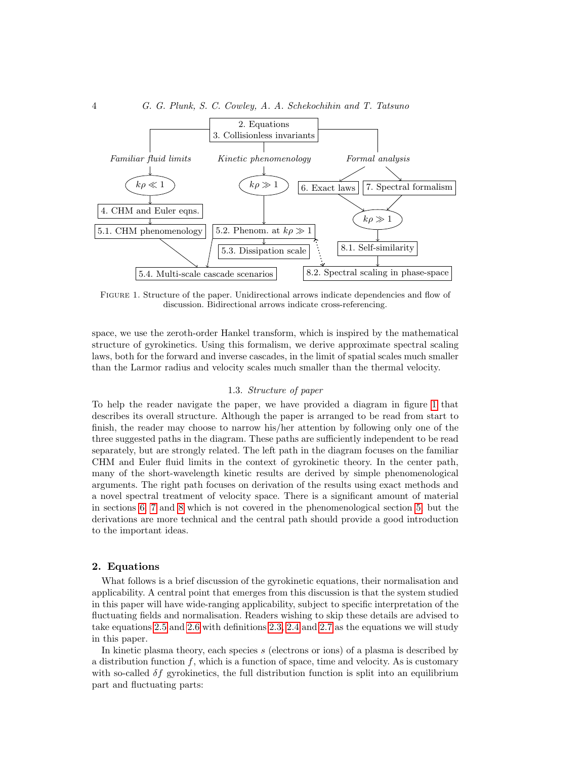



<span id="page-3-1"></span>Figure 1. Structure of the paper. Unidirectional arrows indicate dependencies and flow of Figure 1. Structure of the paper. Unidirectional arrows indicate dependencies and flow of discussion. Bidirectional arrows indicate cross-referencing. discussion. Bidirectional arrows indicate cross-referencing.

space, we use the zeroth-order Hankel transform, which is inspired by the mathematical space, we use the zeroth-order Hankel transform, which is inspired by the mathematical structure of gyrokinetics. Using this formalism, we derive approximate spectral scaling structure of gyrokinetics. Using this formalism, we derive approximate spectral scaling laws, both for the forward and inverse cascades, in the limit of spatial scales much smaller than the Larmor radius and velocity scales much smaller than the thermal velocity. than the Larmor radius and velocity scales much smaller than the thermal velocity.

# 1.3. Structure of paper 1.3. Structure of paper

To help the reader navigate the paper, we have provided a diagram in figure 1 that To help the reader navigate the paper, we have provided a diagram in figure [1](#page-3-1) that describes its overall structure. Although the paper is arranged to be read from start to describes its overall structure. Although the paper is arranged to be read from start to finish, the reader may choose to narrow his/her attention by following only one of the finish, the reader may choose to narrow his/her attention by following only one of the three suggested paths in the diagram. These paths are sufficiently independent to be read three suggested paths in the diagram. These paths are sufficiently independent to be read separately, but are strongly related. The left path in the diagram focuses on the familiar separately, but are strongly related. The left path in the diagram focuses on the familiar CHM and Euler fluid limits in the context of gyrokinetic theory. In the center path, CHM and Euler fluid limits in the context of gyrokinetic theory. In the center path, many of the short-wavelength kinetic results are derived by simple phenomenological many of the short-wavelength kinetic results are derived by simple phenomenological arguments. The right path focuses on derivation of the results using exact methods and arguments. The right path focuses on derivation of the results using exact methods and a novel spectral treatment of velocity space. There is a significant amount of material a novel spectral treatment of velocity space. There is a significant amount of material in sections 6, 7 and 8 which is not covered in the phenomenological section 5, but the in sections [6,](#page-14-0) [7](#page-18-0) and [8](#page-20-0) which is not covered in the phenomenological section [5,](#page-9-0) but the derivations are more technical and the central path should provide a good introduction derivations are more technical and the central path should provide a good introduction to the important ideas. to the important ideas.

# <span id="page-3-0"></span>2. Equations 2. Equations

What follows is a brief discussion of the gyrokinetic equations, their normalisation and What follows is a brief discussion of the gyrokinetic equations, their normalisation and applicability. A central point that emerges from this discussion is that the system studied applicability. A central point that emerges from this discussion is that the system studied in this paper will have wide-ranging applicability, subject to specific interpretation of the in this paper will have wide-ranging applicability, subject to specific interpretation of the fluctuating fields and normalisation. Readers wishing to skip these details are advised to fluctuating fields and normalisation. Readers wishing to skip these details are advised to take equations 2.5 and 2.6 with definitions 2.3, 2.4 and 2.7 as the equations we will study take equations [2.5](#page-5-1) and [2.6](#page-5-2) with definitions [2.3,](#page-4-0) [2.4](#page-4-1) and [2.7](#page-5-3) as the equations we will study in this paper. in this paper.

In kinetic plasma theory, each species s (electrons or ions) of a plasma is described by In kinetic plasma theory, each species s (electrons or ions) of a plasma is described by a distribution function  $f$ , which is a function of space, time and velocity. As is customary with so-called  $\delta f$  gyrokinetics, the full distribution function is split into an equilibrium part and fluctuating parts: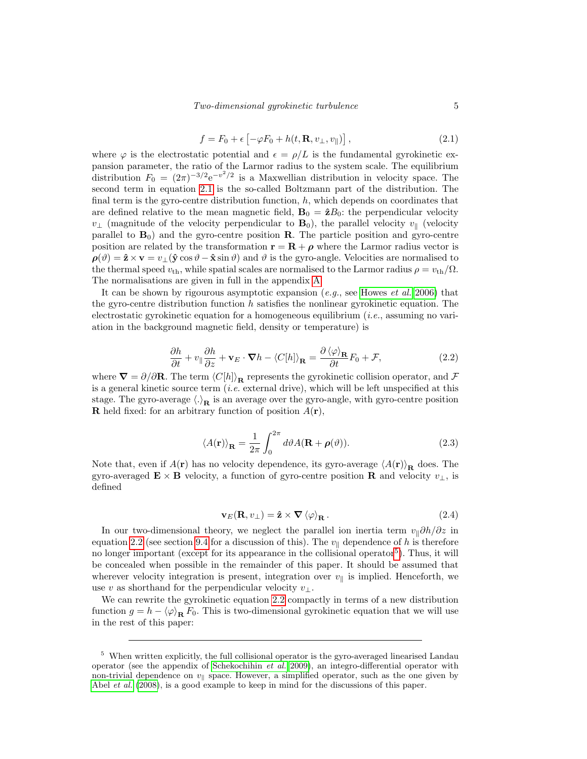<span id="page-4-2"></span>
$$
f = F_0 + \epsilon \left[ -\varphi F_0 + h(t, \mathbf{R}, v_\perp, v_\parallel) \right],
$$
 (2.1)

where  $\varphi$  is the electrostatic potential and  $\epsilon = \rho/L$  is the fundamental gyrokinetic expansion parameter, the ratio of the Larmor radius to the system scale. The equilibrium distribution  $F_0 = (2\pi)^{-3/2} e^{-v^2/2}$  is a Maxwellian distribution in velocity space. The second term in equation [2.1](#page-4-2) is the so-called Boltzmann part of the distribution. The final term is the gyro-centre distribution function,  $h$ , which depends on coordinates that are defined relative to the mean magnetic field,  $\mathbf{B}_0 = \hat{\mathbf{z}}B_0$ : the perpendicular velocity  $v_{\perp}$  (magnitude of the velocity perpendicular to  $\mathbf{B}_0$ ), the parallel velocity  $v_{\parallel}$  (velocity parallel to  $\mathbf{B}_0$ ) and the gyro-centre position  $\mathbf{R}$ . The particle position and gyro-centre position are related by the transformation  $\mathbf{r} = \mathbf{R} + \boldsymbol{\rho}$  where the Larmor radius vector is  $\rho(\vartheta) = \hat{\mathbf{z}} \times \mathbf{v} = v_{\perp}(\hat{\mathbf{y}} \cos \vartheta - \hat{\mathbf{x}} \sin \vartheta)$  and  $\vartheta$  is the gyro-angle. Velocities are normalised to the thermal speed  $v_{\text{th}}$ , while spatial scales are normalised to the Larmor radius  $\rho = v_{\text{th}}/\Omega$ . The normalisations are given in full in the appendix [A.](#page-26-0)

It can be shown by rigourous asymptotic expansion  $(e.g.,\, see\, House\, et\, al.\, 2006)$  $(e.g.,\, see\, House\, et\, al.\, 2006)$  that the gyro-centre distribution function  $h$  satisfies the nonlinear gyrokinetic equation. The electrostatic gyrokinetic equation for a homogeneous equilibrium  $(i.e.,$  assuming no variation in the background magnetic field, density or temperature) is

<span id="page-4-3"></span>
$$
\frac{\partial h}{\partial t} + v_{\parallel} \frac{\partial h}{\partial z} + \mathbf{v}_E \cdot \nabla h - \langle C[h] \rangle_{\mathbf{R}} = \frac{\partial \langle \varphi \rangle_{\mathbf{R}}}{\partial t} F_0 + \mathcal{F},
$$
\n(2.2)

where  $\nabla = \partial/\partial \mathbf{R}$ . The term  $\langle C[h]\rangle_\mathbf{R}$  represents the gyrokinetic collision operator, and F is a general kinetic source term  $(i.e.$  external drive), which will be left unspecified at this stage. The gyro-average  $\langle \cdot \rangle_R$  is an average over the gyro-angle, with gyro-centre position **R** held fixed: for an arbitrary function of position  $A(\mathbf{r})$ ,

<span id="page-4-0"></span>
$$
\langle A(\mathbf{r}) \rangle_{\mathbf{R}} = \frac{1}{2\pi} \int_0^{2\pi} d\vartheta A(\mathbf{R} + \boldsymbol{\rho}(\vartheta)).
$$
 (2.3)

Note that, even if  $A(\mathbf{r})$  has no velocity dependence, its gyro-average  $\langle A(\mathbf{r})\rangle_{\mathbf{R}}$  does. The gyro-averaged  $\mathbf{E} \times \mathbf{B}$  velocity, a function of gyro-centre position  $\mathbf{R}$  and velocity  $v_{\perp}$ , is defined

<span id="page-4-1"></span>
$$
\mathbf{v}_E(\mathbf{R}, v_\perp) = \hat{\mathbf{z}} \times \nabla \left\langle \varphi \right\rangle_\mathbf{R} . \tag{2.4}
$$

In our two-dimensional theory, we neglect the parallel ion inertia term  $v_{\parallel} \partial h / \partial z$  in equation [2.2](#page-4-3) (see section [9.4](#page-25-0) for a discussion of this). The  $v_{\parallel}$  dependence of h is therefore no longer important (except for its appearance in the collisional operator<sup>[5](#page-4-4)</sup>). Thus, it will be concealed when possible in the remainder of this paper. It should be assumed that wherever velocity integration is present, integration over  $v_{\parallel}$  is implied. Henceforth, we use v as shorthand for the perpendicular velocity  $v_{\perp}$ .

We can rewrite the gyrokinetic equation [2.2](#page-4-3) compactly in terms of a new distribution function  $g = h - \langle \varphi \rangle_{\mathbf{R}} F_0$ . This is two-dimensional gyrokinetic equation that we will use in the rest of this paper:

<span id="page-4-4"></span> $^{\rm 5}$  When written explicitly, the full collisional operator is the gyro-averaged linearised Landau operator (see the appendix of [Schekochihin](#page-29-4) *et al.* [2009\)](#page-29-4), an integro-differential operator with non-trivial dependence on  $v_{\parallel}$  space. However, a simplified operator, such as the one given by Abel *[et al.](#page-28-5)* [\(2008\)](#page-28-5), is a good example to keep in mind for the discussions of this paper.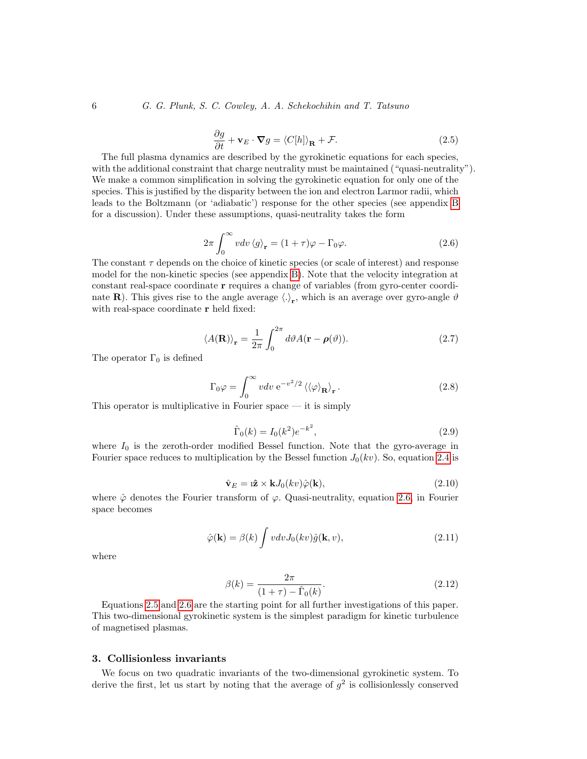<span id="page-5-1"></span>
$$
\frac{\partial g}{\partial t} + \mathbf{v}_E \cdot \nabla g = \langle C[h] \rangle_\mathbf{R} + \mathcal{F}.
$$
 (2.5)

The full plasma dynamics are described by the gyrokinetic equations for each species, with the additional constraint that charge neutrality must be maintained ("quasi-neutrality"). We make a common simplification in solving the gyrokinetic equation for only one of the species. This is justified by the disparity between the ion and electron Larmor radii, which leads to the Boltzmann (or 'adiabatic') response for the other species (see appendix [B](#page-26-1) for a discussion). Under these assumptions, quasi-neutrality takes the form

<span id="page-5-2"></span>
$$
2\pi \int_0^\infty v dv \langle g \rangle_\mathbf{r} = (1+\tau)\varphi - \Gamma_0 \varphi.
$$
 (2.6)

The constant  $\tau$  depends on the choice of kinetic species (or scale of interest) and response model for the non-kinetic species (see appendix [B\)](#page-26-1). Note that the velocity integration at constant real-space coordinate r requires a change of variables (from gyro-center coordinate **R**). This gives rise to the angle average  $\langle . \rangle_r$ , which is an average over gyro-angle  $\vartheta$ with real-space coordinate **r** held fixed:

<span id="page-5-3"></span>
$$
\langle A(\mathbf{R}) \rangle_{\mathbf{r}} = \frac{1}{2\pi} \int_0^{2\pi} d\vartheta A(\mathbf{r} - \boldsymbol{\rho}(\vartheta)).
$$
 (2.7)

The operator  $\Gamma_0$  is defined

$$
\Gamma_0 \varphi = \int_0^\infty v dv \, e^{-v^2/2} \left\langle \langle \varphi \rangle_\mathbf{R} \right\rangle_\mathbf{r} . \tag{2.8}
$$

This operator is multiplicative in Fourier space — it is simply

<span id="page-5-4"></span>
$$
\hat{\Gamma}_0(k) = I_0(k^2)e^{-k^2},\tag{2.9}
$$

where  $I_0$  is the zeroth-order modified Bessel function. Note that the gyro-average in Fourier space reduces to multiplication by the Bessel function  $J_0(kv)$ . So, equation [2.4](#page-4-1) is

<span id="page-5-6"></span>
$$
\hat{\mathbf{v}}_E = \mathbf{i}\hat{\mathbf{z}} \times \mathbf{k} J_0(kv)\hat{\varphi}(\mathbf{k}),\tag{2.10}
$$

where  $\hat{\varphi}$  denotes the Fourier transform of  $\varphi$ . Quasi-neutrality, equation [2.6,](#page-5-2) in Fourier space becomes

<span id="page-5-5"></span>
$$
\hat{\varphi}(\mathbf{k}) = \beta(k) \int v dv J_0(kv) \hat{g}(\mathbf{k}, v), \qquad (2.11)
$$

where

<span id="page-5-7"></span>
$$
\beta(k) = \frac{2\pi}{(1+\tau) - \hat{\Gamma}_0(k)}.
$$
\n(2.12)

Equations [2.5](#page-5-1) and [2.6](#page-5-2) are the starting point for all further investigations of this paper. This two-dimensional gyrokinetic system is the simplest paradigm for kinetic turbulence of magnetised plasmas.

# <span id="page-5-0"></span>3. Collisionless invariants

We focus on two quadratic invariants of the two-dimensional gyrokinetic system. To derive the first, let us start by noting that the average of  $g^2$  is collisionlessly conserved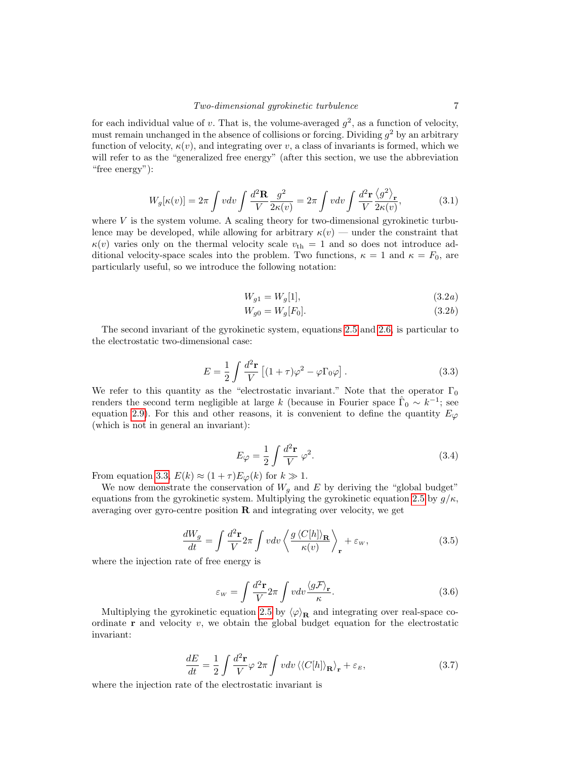for each individual value of v. That is, the volume-averaged  $g^2$ , as a function of velocity, must remain unchanged in the absence of collisions or forcing. Dividing  $g^2$  by an arbitrary function of velocity,  $\kappa(v)$ , and integrating over v, a class of invariants is formed, which we will refer to as the "generalized free energy" (after this section, we use the abbreviation "free energy"):

<span id="page-6-3"></span>
$$
W_g[\kappa(v)] = 2\pi \int v dv \int \frac{d^2 \mathbf{R}}{V} \frac{g^2}{2\kappa(v)} = 2\pi \int v dv \int \frac{d^2 \mathbf{r}}{V} \frac{\langle g^2 \rangle_{\mathbf{r}}}{2\kappa(v)},
$$
(3.1)

where  $V$  is the system volume. A scaling theory for two-dimensional gyrokinetic turbulence may be developed, while allowing for arbitrary  $\kappa(v)$  — under the constraint that  $\kappa(v)$  varies only on the thermal velocity scale  $v_{th} = 1$  and so does not introduce additional velocity-space scales into the problem. Two functions,  $\kappa = 1$  and  $\kappa = F_0$ , are particularly useful, so we introduce the following notation:

$$
W_{g1} = W_g[1],
$$
\n(3.2a)

$$
W_{g0} = W_g[F_0].
$$
\n(3.2*b*)

<span id="page-6-1"></span>The second invariant of the gyrokinetic system, equations [2.5](#page-5-1) and [2.6,](#page-5-2) is particular to the electrostatic two-dimensional case:

<span id="page-6-0"></span>
$$
E = \frac{1}{2} \int \frac{d^2 \mathbf{r}}{V} \left[ (1 + \tau) \varphi^2 - \varphi \Gamma_0 \varphi \right]. \tag{3.3}
$$

We refer to this quantity as the "electrostatic invariant." Note that the operator  $\Gamma_0$ renders the second term negligible at large k (because in Fourier space  $\hat{\Gamma}_0 \sim k^{-1}$ ; see equation [2.9\)](#page-5-4). For this and other reasons, it is convenient to define the quantity  $E_{\varphi}$ (which is not in general an invariant):

<span id="page-6-2"></span>
$$
E_{\varphi} = \frac{1}{2} \int \frac{d^2 \mathbf{r}}{V} \varphi^2.
$$
 (3.4)

From equation [3.3,](#page-6-0)  $E(k) \approx (1+\tau)E_{\varphi}(k)$  for  $k \gg 1$ .

We now demonstrate the conservation of  $W_q$  and E by deriving the "global budget" equations from the gyrokinetic system. Multiplying the gyrokinetic equation [2.5](#page-5-1) by  $g/\kappa$ , averaging over gyro-centre position  $\bf{R}$  and integrating over velocity, we get

$$
\frac{dW_g}{dt} = \int \frac{d^2 \mathbf{r}}{V} 2\pi \int v dv \left\langle \frac{g \left\langle C[h] \right\rangle_{\mathbf{R}}}{\kappa(v)} \right\rangle_{\mathbf{r}} + \varepsilon_w, \tag{3.5}
$$

where the injection rate of free energy is

$$
\varepsilon_{w} = \int \frac{d^{2} \mathbf{r}}{V} 2\pi \int v dv \frac{\langle g \mathcal{F} \rangle_{\mathbf{r}}}{\kappa}.
$$
\n(3.6)

Multiplying the gyrokinetic equation [2.5](#page-5-1) by  $\langle \varphi \rangle_{\mathbf{R}}$  and integrating over real-space coordinate  $\bf{r}$  and velocity v, we obtain the global budget equation for the electrostatic invariant:

$$
\frac{dE}{dt} = \frac{1}{2} \int \frac{d^2 \mathbf{r}}{V} \varphi \, 2\pi \int v dv \, \langle \langle C[h] \rangle_{\mathbf{R}} \rangle_{\mathbf{r}} + \varepsilon_E, \tag{3.7}
$$

where the injection rate of the electrostatic invariant is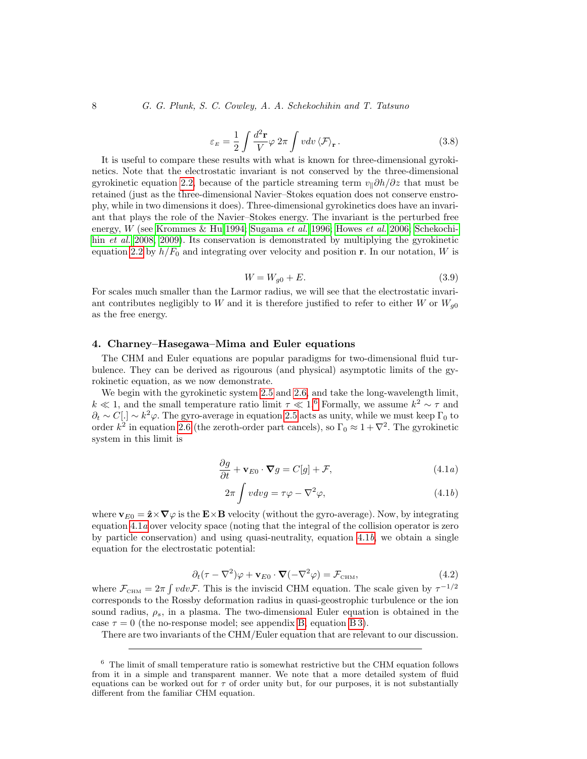$$
\varepsilon_E = \frac{1}{2} \int \frac{d^2 \mathbf{r}}{V} \varphi \, 2\pi \int v dv \, \langle \mathcal{F} \rangle_{\mathbf{r}} \,. \tag{3.8}
$$

It is useful to compare these results with what is known for three-dimensional gyrokinetics. Note that the electrostatic invariant is not conserved by the three-dimensional gyrokinetic equation [2.2,](#page-4-3) because of the particle streaming term  $v_{\parallel} \partial h/\partial z$  that must be retained (just as the three-dimensional Navier–Stokes equation does not conserve enstrophy, while in two dimensions it does). Three-dimensional gyrokinetics does have an invariant that plays the role of the Navier–Stokes energy. The invariant is the perturbed free energy, W (see [Krommes & Hu 1994;](#page-28-14) [Sugama](#page-29-7) et al. [1996;](#page-29-7) [Howes](#page-28-7) et al. [2006;](#page-28-7) [Schekochi](#page-29-2)hin *[et al.](#page-29-2)* [2008,](#page-29-2) [2009\)](#page-29-4). Its conservation is demonstrated by multiplying the gyrokinetic equation [2.2](#page-4-3) by  $h/F_0$  and integrating over velocity and position r. In our notation, W is

$$
W = W_{g0} + E. \tag{3.9}
$$

For scales much smaller than the Larmor radius, we will see that the electrostatic invariant contributes negligibly to W and it is therefore justified to refer to either W or  $W_{q0}$ as the free energy.

## <span id="page-7-0"></span>4. Charney–Hasegawa–Mima and Euler equations

The CHM and Euler equations are popular paradigms for two-dimensional fluid turbulence. They can be derived as rigourous (and physical) asymptotic limits of the gyrokinetic equation, as we now demonstrate.

<span id="page-7-2"></span>We begin with the gyrokinetic system [2.5](#page-5-1) and [2.6,](#page-5-2) and take the long-wavelength limit,  $k \ll 1$ , and the small temperature ratio limit  $\tau \ll 1.6$  $\tau \ll 1.6$  Formally, we assume  $k^2 \sim \tau$  and  $\partial_t \sim C[.]\sim k^2\varphi$ . The gyro-average in equation [2.5](#page-5-1) acts as unity, while we must keep  $\Gamma_0$  to order  $k^2$  in equation [2.6](#page-5-2) (the zeroth-order part cancels), so  $\Gamma_0 \approx 1 + \nabla^2$ . The gyrokinetic system in this limit is

$$
\frac{\partial g}{\partial t} + \mathbf{v}_{E0} \cdot \nabla g = C[g] + \mathcal{F}, \qquad (4.1a)
$$

<span id="page-7-3"></span>
$$
2\pi \int v dv g = \tau \varphi - \nabla^2 \varphi, \qquad (4.1b)
$$

where  $\mathbf{v}_{E0} = \hat{\mathbf{z}} \times \nabla \varphi$  is the  $\mathbf{E} \times \mathbf{B}$  velocity (without the gyro-average). Now, by integrating equation  $4.1a$  over velocity space (noting that the integral of the collision operator is zero by particle conservation) and using quasi-neutrality, equation [4.1](#page-7-3)b, we obtain a single equation for the electrostatic potential:

$$
\partial_t(\tau - \nabla^2)\varphi + \mathbf{v}_{E0} \cdot \mathbf{\nabla}(-\nabla^2 \varphi) = \mathcal{F}_{\text{CHM}},\tag{4.2}
$$

where  $\mathcal{F}_{\text{CHM}} = 2\pi \int v dv \mathcal{F}$ . This is the inviscid CHM equation. The scale given by  $\tau^{-1/2}$ corresponds to the Rossby deformation radius in quasi-geostrophic turbulence or the ion sound radius,  $\rho_s$ , in a plasma. The two-dimensional Euler equation is obtained in the case  $\tau = 0$  (the no-response model; see appendix [B,](#page-26-1) equation [B 3\)](#page-27-0).

There are two invariants of the CHM/Euler equation that are relevant to our discussion.

<span id="page-7-1"></span> $6$  The limit of small temperature ratio is somewhat restrictive but the CHM equation follows from it in a simple and transparent manner. We note that a more detailed system of fluid equations can be worked out for  $\tau$  of order unity but, for our purposes, it is not substantially different from the familiar CHM equation.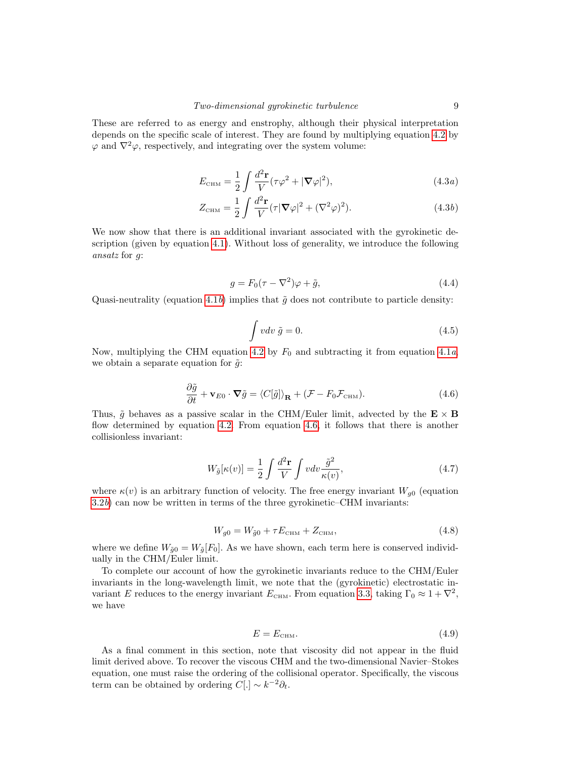<span id="page-8-1"></span>These are referred to as energy and enstrophy, although their physical interpretation depends on the specific scale of interest. They are found by multiplying equation [4.2](#page-7-3) by  $\varphi$  and  $\nabla^2 \varphi$ , respectively, and integrating over the system volume:

$$
E_{\text{CHM}} = \frac{1}{2} \int \frac{d^2 \mathbf{r}}{V} (\tau \varphi^2 + |\mathbf{\nabla} \varphi|^2), \tag{4.3a}
$$

$$
Z_{\text{CHM}} = \frac{1}{2} \int \frac{d^2 \mathbf{r}}{V} (\tau | \mathbf{\nabla} \varphi |^2 + (\nabla^2 \varphi)^2). \tag{4.3b}
$$

We now show that there is an additional invariant associated with the gyrokinetic description (given by equation [4.1\)](#page-7-2). Without loss of generality, we introduce the following ansatz for g:

<span id="page-8-5"></span>
$$
g = F_0(\tau - \nabla^2)\varphi + \tilde{g},\tag{4.4}
$$

Quasi-neutrality (equation [4.1](#page-7-3)b) implies that  $\tilde{g}$  does not contribute to particle density:

$$
\int v dv \, \tilde{g} = 0. \tag{4.5}
$$

Now, multiplying the CHM equation [4.2](#page-7-3) by  $F_0$  and subtracting it from equation [4.1](#page-7-2)a, we obtain a separate equation for  $\tilde{g}$ :

<span id="page-8-0"></span>
$$
\frac{\partial \tilde{g}}{\partial t} + \mathbf{v}_{E0} \cdot \nabla \tilde{g} = \langle C[\tilde{g}] \rangle_{\mathbf{R}} + (\mathcal{F} - F_0 \mathcal{F}_{\text{CHM}}). \tag{4.6}
$$

Thus,  $\tilde{q}$  behaves as a passive scalar in the CHM/Euler limit, advected by the  $\mathbf{E} \times \mathbf{B}$ flow determined by equation [4.2.](#page-7-3) From equation [4.6,](#page-8-0) it follows that there is another collisionless invariant:

<span id="page-8-2"></span>
$$
W_{\tilde{g}}[\kappa(v)] = \frac{1}{2} \int \frac{d^2 \mathbf{r}}{V} \int v dv \frac{\tilde{g}^2}{\kappa(v)},
$$
\n(4.7)

where  $\kappa(v)$  is an arbitrary function of velocity. The free energy invariant  $W_{q0}$  (equation [3.2](#page-6-1)b) can now be written in terms of the three gyrokinetic–CHM invariants:

<span id="page-8-3"></span>
$$
W_{g0} = W_{\tilde{g}0} + \tau E_{\text{CHM}} + Z_{\text{CHM}},\tag{4.8}
$$

where we define  $W_{\tilde{q}0} = W_{\tilde{q}}[F_0]$ . As we have shown, each term here is conserved individually in the CHM/Euler limit.

To complete our account of how the gyrokinetic invariants reduce to the CHM/Euler invariants in the long-wavelength limit, we note that the (gyrokinetic) electrostatic invariant E reduces to the energy invariant  $E_{\text{CHM}}$ . From equation [3.3,](#page-6-0) taking  $\Gamma_0 \approx 1 + \nabla^2$ , we have

<span id="page-8-4"></span>
$$
E = E_{\text{CHM}}.\tag{4.9}
$$

As a final comment in this section, note that viscosity did not appear in the fluid limit derived above. To recover the viscous CHM and the two-dimensional Navier–Stokes equation, one must raise the ordering of the collisional operator. Specifically, the viscous term can be obtained by ordering  $C[.] \sim k^{-2} \partial_t$ .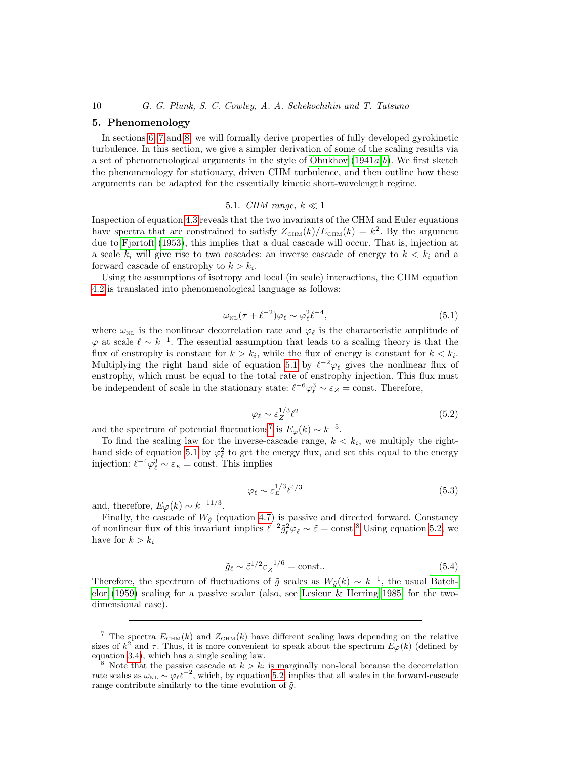#### <span id="page-9-0"></span>5. Phenomenology

In sections [6,](#page-14-0) [7](#page-18-0) and [8,](#page-20-0) we will formally derive properties of fully developed gyrokinetic turbulence. In this section, we give a simpler derivation of some of the scaling results via a set of phenomenological arguments in the style of O[b](#page-29-9)ukhov  $(1941a,b)$ . We first sketch the phenomenology for stationary, driven CHM turbulence, and then outline how these arguments can be adapted for the essentially kinetic short-wavelength regime.

# 5.1. CHM range,  $k \ll 1$

<span id="page-9-5"></span>Inspection of equation [4.3](#page-8-1) reveals that the two invariants of the CHM and Euler equations have spectra that are constrained to satisfy  $Z_{\text{CHM}}(k)/E_{\text{CHM}}(k) = k^2$ . By the argument due to [Fjørtoft \(1953\)](#page-28-15), this implies that a dual cascade will occur. That is, injection at a scale  $k_i$  will give rise to two cascades: an inverse cascade of energy to  $k < k_i$  and a forward cascade of enstrophy to  $k > k_i$ .

Using the assumptions of isotropy and local (in scale) interactions, the CHM equation [4.2](#page-7-3) is translated into phenomenological language as follows:

<span id="page-9-1"></span>
$$
\omega_{\text{NL}}(\tau + \ell^{-2})\varphi_{\ell} \sim \varphi_{\ell}^{2}\ell^{-4},\tag{5.1}
$$

where  $\omega_{NL}$  is the nonlinear decorrelation rate and  $\varphi_{\ell}$  is the characteristic amplitude of  $\varphi$  at scale  $\ell \sim k^{-1}$ . The essential assumption that leads to a scaling theory is that the flux of enstrophy is constant for  $k > k_i$ , while the flux of energy is constant for  $k < k_i$ . Multiplying the right hand side of equation [5.1](#page-9-1) by  $\ell^{-2}\varphi_{\ell}$  gives the nonlinear flux of enstrophy, which must be equal to the total rate of enstrophy injection. This flux must be independent of scale in the stationary state:  $\ell^{-6}\varphi_{\ell}^3 \sim \varepsilon_Z = \text{const.}$  Therefore,

<span id="page-9-4"></span>
$$
\varphi_{\ell} \sim \varepsilon_Z^{1/3} \ell^2 \tag{5.2}
$$

and the spectrum of potential fluctuations<sup>[7](#page-9-2)</sup> is  $E_{\varphi}(k) \sim k^{-5}$ .

To find the scaling law for the inverse-cascade range,  $k < k_i$ , we multiply the right-hand side of equation [5.1](#page-9-1) by  $\varphi_{\ell}^2$  to get the energy flux, and set this equal to the energy injection:  $\ell^{-4}\varphi_{\ell}^3 \sim \varepsilon_E = \text{const.}$  This implies

<span id="page-9-6"></span>
$$
\varphi_{\ell} \sim \varepsilon_E^{1/3} \ell^{4/3} \tag{5.3}
$$

and, therefore,  $E_{\varphi}(k) \sim k^{-11/3}$ .

Finally, the cascade of  $W_{\tilde{q}}$  (equation [4.7\)](#page-8-2) is passive and directed forward. Constancy of nonlinear flux of this invariant implies  $\ell^{-2} \tilde{g}_{\ell}^2 \varphi_{\ell} \sim \tilde{\varepsilon} = \text{const.}^8$  $\ell^{-2} \tilde{g}_{\ell}^2 \varphi_{\ell} \sim \tilde{\varepsilon} = \text{const.}^8$  Using equation [5.2,](#page-9-4) we have for  $k > k_i$ 

$$
\tilde{g}_{\ell} \sim \tilde{\varepsilon}^{1/2} \varepsilon_Z^{-1/6} = \text{const.} \tag{5.4}
$$

Therefore, the spectrum of fluctuations of  $\tilde{g}$  scales as  $W_{\tilde{g}}(k) \sim k^{-1}$ , the usual [Batch](#page-28-16)[elor \(1959\)](#page-28-16) scaling for a passive scalar (also, see [Lesieur & Herring 1985,](#page-29-10) for the twodimensional case).

<span id="page-9-2"></span><sup>&</sup>lt;sup>7</sup> The spectra  $E_{\text{CHM}}(k)$  and  $Z_{\text{CHM}}(k)$  have different scaling laws depending on the relative sizes of  $k^2$  and  $\tau$ . Thus, it is more convenient to speak about the spectrum  $E_{\varphi}(k)$  (defined by equation [3.4\)](#page-6-2), which has a single scaling law.

<span id="page-9-3"></span><sup>&</sup>lt;sup>8</sup> Note that the passive cascade at  $k > k_i$  is marginally non-local because the decorrelation rate scales as  $\omega_{\text{NL}} \sim \varphi_{\ell} \ell^{-2}$ , which, by equation [5.2,](#page-9-4) implies that all scales in the forward-cascade range contribute similarly to the time evolution of  $\tilde{g}$ .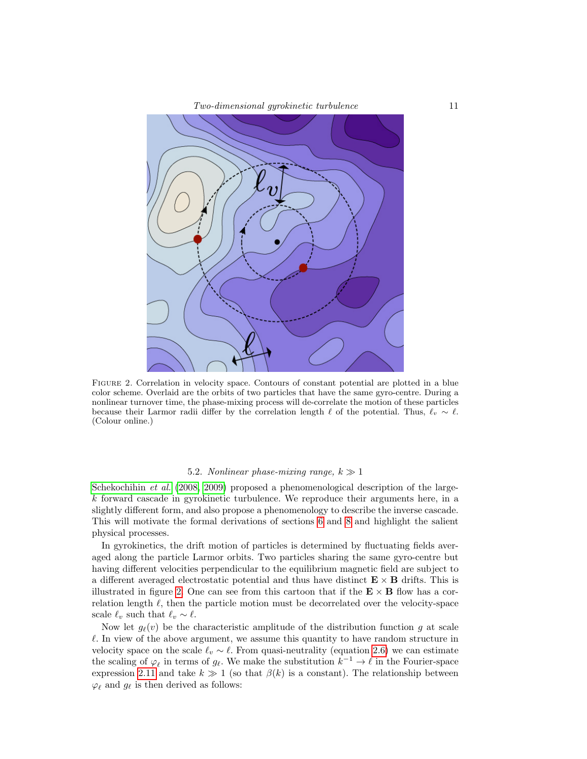

<span id="page-10-0"></span>FIGURE 2. Correlation in velocity space. Contours of constant potential are plotted in a blue color scheme. Overlaid are the orbits of two particles that have the same gyro-centre. During a nonlinear turnover time, the phase-mixing process will de-correlate the motion of these particles because their Larmor radii differ by the correlation length  $\ell$  of the potential. Thus,  $\ell_v \sim \ell$ . (Colour online.)

### 5.2. Nonlinear phase-mixing range,  $k \gg 1$

<span id="page-10-1"></span>[Schekochihin](#page-29-2) *et al.* [\(2008,](#page-29-2) [2009\)](#page-29-4) proposed a phenomenological description of the large $k$  forward cascade in gyrokinetic turbulence. We reproduce their arguments here, in a slightly different form, and also propose a phenomenology to describe the inverse cascade. This will motivate the formal derivations of sections [6](#page-14-0) and [8](#page-20-0) and highlight the salient physical processes.

In gyrokinetics, the drift motion of particles is determined by fluctuating fields averaged along the particle Larmor orbits. Two particles sharing the same gyro-centre but having different velocities perpendicular to the equilibrium magnetic field are subject to a different averaged electrostatic potential and thus have distinct  $\mathbf{E} \times \mathbf{B}$  drifts. This is illustrated in figure [2.](#page-10-0) One can see from this cartoon that if the  $\mathbf{E} \times \mathbf{B}$  flow has a correlation length  $\ell$ , then the particle motion must be decorrelated over the velocity-space scale  $\ell_v$  such that  $\ell_v \sim \ell$ .

Now let  $g_{\ell}(v)$  be the characteristic amplitude of the distribution function g at scale  $\ell$ . In view of the above argument, we assume this quantity to have random structure in velocity space on the scale  $\ell_v \sim \ell$ . From quasi-neutrality (equation [2.6\)](#page-5-2) we can estimate the scaling of  $\varphi_\ell$  in terms of  $g_\ell$ . We make the substitution  $k^{-1} \to \ell$  in the Fourier-space expression [2.11](#page-5-5) and take  $k \gg 1$  (so that  $\beta(k)$  is a constant). The relationship between  $\varphi_{\ell}$  and  $g_{\ell}$  is then derived as follows: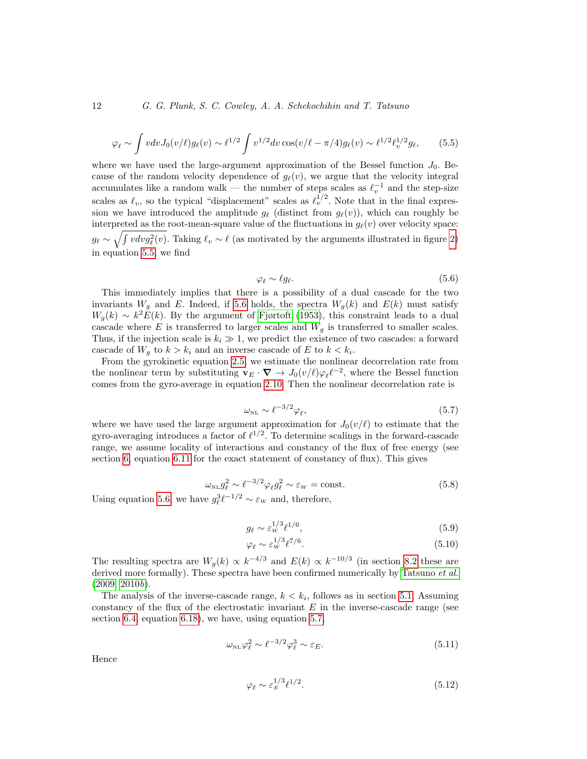<span id="page-11-0"></span>
$$
\varphi_{\ell} \sim \int v dv J_0(v/\ell) g_{\ell}(v) \sim \ell^{1/2} \int v^{1/2} dv \cos(v/\ell - \pi/4) g_{\ell}(v) \sim \ell^{1/2} \ell_v^{1/2} g_{\ell}, \qquad (5.5)
$$

where we have used the large-argument approximation of the Bessel function  $J_0$ . Because of the random velocity dependence of  $g_{\ell}(v)$ , we argue that the velocity integral accumulates like a random walk — the number of steps scales as  $\ell_v^{-1}$  and the step-size scales as  $\ell_v$ , so the typical "displacement" scales as  $\ell_v^{1/2}$ . Note that in the final expression we have introduced the amplitude  $g_{\ell}$  (distinct from  $g_{\ell}(v)$ ), which can roughly be interpreted as the root-mean-square value of the fluctuations in  $g_{\ell}(v)$  over velocity space:  $g_{\ell} \sim \sqrt{\int v dv g_{\ell}^2(v)}$ . Taking  $\ell_v \sim \ell$  (as motivated by the arguments illustrated in figure [2\)](#page-10-0) in equation [5.5,](#page-11-0) we find

<span id="page-11-1"></span>
$$
\varphi_{\ell} \sim \ell g_{\ell}. \tag{5.6}
$$

This immediately implies that there is a possibility of a dual cascade for the two invariants  $W_q$  and E. Indeed, if [5.6](#page-11-1) holds, the spectra  $W_q(k)$  and  $E(k)$  must satisfy  $W_g(k) \sim k^2 E(k)$ . By the argument of [Fjørtoft \(1953\)](#page-28-15), this constraint leads to a dual cascade where E is transferred to larger scales and  $W_q$  is transferred to smaller scales. Thus, if the injection scale is  $k_i \gg 1$ , we predict the existence of two cascades: a forward cascade of  $W_g$  to  $k > k_i$  and an inverse cascade of E to  $k < k_i$ .

From the gyrokinetic equation [2.5,](#page-5-1) we estimate the nonlinear decorrelation rate from the nonlinear term by substituting  $\mathbf{v}_E \cdot \nabla \to J_0(v/\ell)\varphi_\ell \ell^{-2}$ , where the Bessel function comes from the gyro-average in equation [2.10.](#page-5-6) Then the nonlinear decorrelation rate is

<span id="page-11-2"></span>
$$
\omega_{\rm NL} \sim \ell^{-3/2} \varphi_\ell,\tag{5.7}
$$

where we have used the large argument approximation for  $J_0(v/\ell)$  to estimate that the gyro-averaging introduces a factor of  $\ell^{1/2}$ . To determine scalings in the forward-cascade range, we assume locality of interactions and constancy of the flux of free energy (see section [6,](#page-14-0) equation [6.11](#page-17-1) for the exact statement of constancy of flux). This gives

$$
\omega_{\rm NL} g_\ell^2 \sim \ell^{-3/2} \varphi_\ell g_\ell^2 \sim \varepsilon_w = \text{const.} \tag{5.8}
$$

Using equation [5.6,](#page-11-1) we have  $g_{\ell}^{3}\ell^{-1/2} \sim \varepsilon_{W}$  and, therefore,

<span id="page-11-5"></span>
$$
g_{\ell} \sim \varepsilon_w^{1/3} \ell^{1/6},\tag{5.9}
$$

<span id="page-11-4"></span>
$$
\varphi_{\ell} \sim \varepsilon_w^{1/3} \ell^{7/6}.
$$
\n(5.10)

The resulting spectra are  $W_g(k) \propto k^{-4/3}$  and  $E(k) \propto k^{-10/3}$  (in section [8.2](#page-21-0) these are derived more formally). These spectra have been confirmed numerically by [Tatsuno](#page-29-3) *et al.*  $(2009, 2010b).$  $(2009, 2010b).$  $(2009, 2010b).$ 

The analysis of the inverse-cascade range,  $k < k_i$ , follows as in section [5.1.](#page-9-5) Assuming constancy of the flux of the electrostatic invariant  $E$  in the inverse-cascade range (see section [6.4,](#page-17-0) equation [6.18\)](#page-18-1), we have, using equation [5.7,](#page-11-2)

$$
\omega_{\rm NL}\varphi_\ell^2 \sim \ell^{-3/2}\varphi_\ell^3 \sim \varepsilon_E. \tag{5.11}
$$

Hence

<span id="page-11-3"></span>
$$
\varphi_{\ell} \sim \varepsilon_E^{1/3} \ell^{1/2}.
$$
\n(5.12)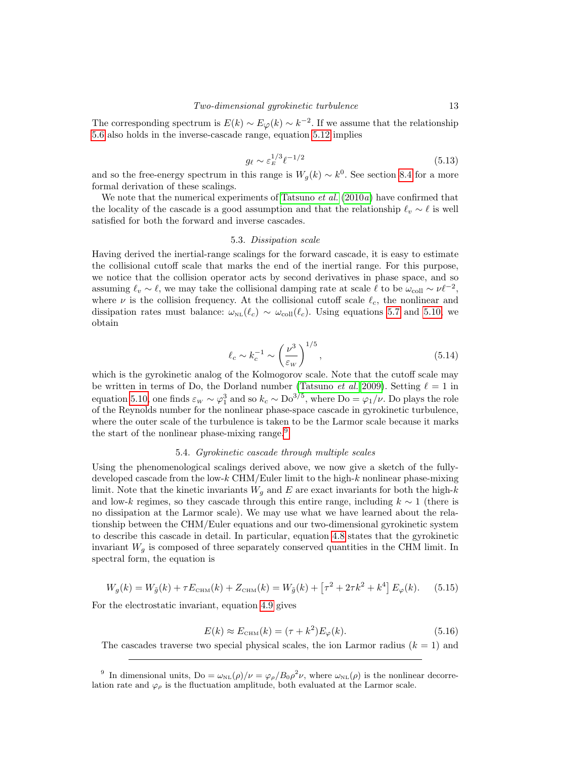The corresponding spectrum is  $E(k) \sim E_{\varphi}(k) \sim k^{-2}$ . If we assume that the relationship [5.6](#page-11-1) also holds in the inverse-cascade range, equation [5.12](#page-11-3) implies

<span id="page-12-5"></span>
$$
g_{\ell} \sim \varepsilon_E^{1/3} \ell^{-1/2} \tag{5.13}
$$

and so the free-energy spectrum in this range is  $W_g(k) \sim k^0$ . See section [8.4](#page-23-0) for a more formal derivation of these scalings.

We note that the numerical experiments of [Tatsuno](#page-29-12)  $et al. (2010a)$  $et al. (2010a)$  $et al. (2010a)$  have confirmed that the locality of the cascade is a good assumption and that the relationship  $\ell_v \sim \ell$  is well satisfied for both the forward and inverse cascades.

#### 5.3. Dissipation scale

<span id="page-12-2"></span>Having derived the inertial-range scalings for the forward cascade, it is easy to estimate the collisional cutoff scale that marks the end of the inertial range. For this purpose, we notice that the collision operator acts by second derivatives in phase space, and so assuming  $\ell_v \sim \ell$ , we may take the collisional damping rate at scale  $\ell$  to be  $\omega_{\text{coll}} \sim \nu \ell^{-2}$ , where  $\nu$  is the collision frequency. At the collisional cutoff scale  $\ell_c$ , the nonlinear and dissipation rates must balance:  $\omega_{NL}(\ell_c) \sim \omega_{coll}(\ell_c)$ . Using equations [5.7](#page-11-2) and [5.10,](#page-11-4) we obtain

<span id="page-12-4"></span>
$$
\ell_c \sim k_c^{-1} \sim \left(\frac{\nu^3}{\varepsilon_w}\right)^{1/5},\tag{5.14}
$$

which is the gyrokinetic analog of the Kolmogorov scale. Note that the cutoff scale may be written in terms of Do, the Dorland number [\(Tatsuno](#page-29-3) *et al.* [2009\)](#page-29-3). Setting  $\ell = 1$  in equation [5.10,](#page-11-4) one finds  $\varepsilon_w \sim \varphi_1^3$  and so  $k_c \sim \text{Do}^{3/5}$ , where  $\text{Do} = \varphi_1/\nu$ . Do plays the role of the Reynolds number for the nonlinear phase-space cascade in gyrokinetic turbulence, where the outer scale of the turbulence is taken to be the Larmor scale because it marks the start of the nonlinear phase-mixing range.<sup>[9](#page-12-1)</sup>

### 5.4. Gyrokinetic cascade through multiple scales

<span id="page-12-0"></span>Using the phenomenological scalings derived above, we now give a sketch of the fullydeveloped cascade from the low-k CHM/Euler limit to the high-k nonlinear phase-mixing limit. Note that the kinetic invariants  $W_g$  and E are exact invariants for both the high-k and low-k regimes, so they cascade through this entire range, including  $k \sim 1$  (there is no dissipation at the Larmor scale). We may use what we have learned about the relationship between the CHM/Euler equations and our two-dimensional gyrokinetic system to describe this cascade in detail. In particular, equation [4.8](#page-8-3) states that the gyrokinetic invariant  $W<sub>q</sub>$  is composed of three separately conserved quantities in the CHM limit. In spectral form, the equation is

<span id="page-12-3"></span>
$$
W_g(k) = W_{\tilde{g}}(k) + \tau E_{\text{CHM}}(k) + Z_{\text{CHM}}(k) = W_{\tilde{g}}(k) + \left[\tau^2 + 2\tau k^2 + k^4\right] E_{\varphi}(k). \tag{5.15}
$$

For the electrostatic invariant, equation [4.9](#page-8-4) gives

$$
E(k) \approx E_{\text{CHM}}(k) = (\tau + k^2)E_{\varphi}(k). \tag{5.16}
$$

The cascades traverse two special physical scales, the ion Larmor radius  $(k = 1)$  and

<span id="page-12-1"></span><sup>&</sup>lt;sup>9</sup> In dimensional units,  $Do = \omega_{NL}(\rho)/\nu = \varphi_{\rho}/B_0\rho^2 \nu$ , where  $\omega_{NL}(\rho)$  is the nonlinear decorrelation rate and  $\varphi_{\rho}$  is the fluctuation amplitude, both evaluated at the Larmor scale.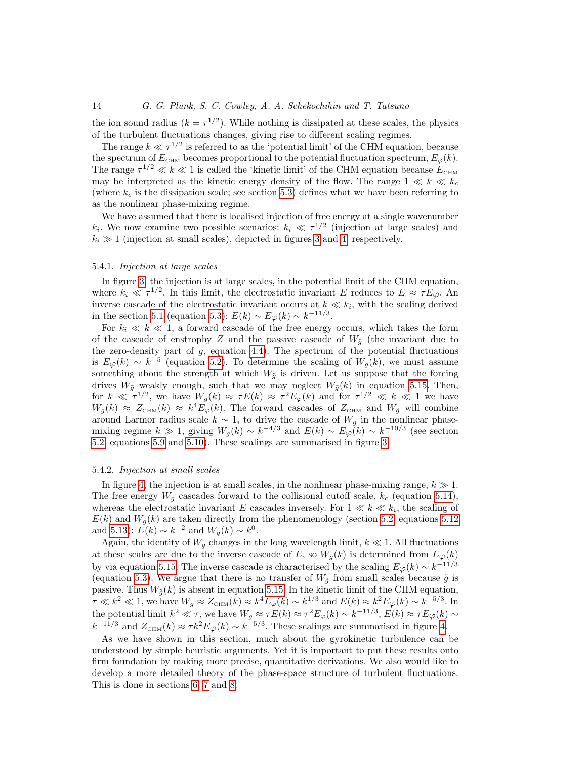the ion sound radius  $(k = \tau^{1/2})$ . While nothing is dissipated at these scales, the physics of the turbulent fluctuations changes, giving rise to different scaling regimes.

The range  $k \ll \tau^{1/2}$  is referred to as the 'potential limit' of the CHM equation, because the spectrum of  $E_{\text{CHM}}$  becomes proportional to the potential fluctuation spectrum,  $E_{\varphi}(k)$ . The range  $\tau^{1/2} \ll k \ll 1$  is called the 'kinetic limit' of the CHM equation because  $E_{\text{CHM}}$ may be interpreted as the kinetic energy density of the flow. The range  $1 \ll k \ll k_c$ (where  $k_c$  is the dissipation scale; see section [5.3\)](#page-12-2) defines what we have been referring to as the nonlinear phase-mixing regime.

We have assumed that there is localised injection of free energy at a single wavenumber  $k_i$ . We now examine two possible scenarios:  $k_i \ll \tau^{1/2}$  (injection at large scales) and  $k_i \gg 1$  (injection at small scales), depicted in figures [3](#page-14-1) and [4,](#page-15-0) respectively.

### 5.4.1. Injection at large scales

In figure [3,](#page-14-1) the injection is at large scales, in the potential limit of the CHM equation, where  $k_i \ll \tau^{1/2}$ . In this limit, the electrostatic invariant E reduces to  $E \approx \tau E_{\varphi}$ . An inverse cascade of the electrostatic invariant occurs at  $k \ll k_i$ , with the scaling derived in the section [5.1](#page-9-5) (equation [5.3\)](#page-9-6):  $E(k) \sim E_{\varphi}(k) \sim k^{-11/3}$ .

For  $k_i \ll k \ll 1$ , a forward cascade of the free energy occurs, which takes the form of the cascade of enstrophy Z and the passive cascade of  $W_{\tilde{q}}$  (the invariant due to the zero-density part of  $g$ , equation [4.4\)](#page-8-5). The spectrum of the potential fluctuations is  $E_{\varphi}(k) \sim k^{-5}$  (equation [5.2\)](#page-9-4). To determine the scaling of  $W_g(k)$ , we must assume something about the strength at which  $W_{\tilde{g}}$  is driven. Let us suppose that the forcing drives  $W_{\tilde{g}}$  weakly enough, such that we may neglect  $W_{\tilde{g}}(k)$  in equation [5.15.](#page-12-3) Then, for  $k \ll \tau^{1/2}$ , we have  $W_g(k) \approx \tau E(k) \approx \tau^2 E_{\varphi}(k)$  and for  $\tau^{1/2} \ll k \ll 1$  we have  $W_g(k) \approx Z_{\text{CHM}}(k) \approx k^4 E_\varphi(k)$ . The forward cascades of  $Z_{\text{CHM}}$  and  $W_{\tilde{g}}$  will combine around Larmor radius scale  $k \sim 1$ , to drive the cascade of  $W_g$  in the nonlinear phasemixing regime  $k \gg 1$ , giving  $W_g(k) \sim k^{-4/3}$  and  $E(k) \sim E_\varphi(k) \sim k^{-10/3}$  (see section [5.2,](#page-10-1) equations [5.9](#page-11-5) and [5.10\)](#page-11-4). These scalings are summarised in figure [3.](#page-14-1)

#### 5.4.2. Injection at small scales

In figure [4,](#page-15-0) the injection is at small scales, in the nonlinear phase-mixing range,  $k \gg 1$ . The free energy  $W_q$  cascades forward to the collisional cutoff scale,  $k_c$  (equation [5.14\)](#page-12-4), whereas the electrostatic invariant E cascades inversely. For  $1 \ll k \ll k_i$ , the scaling of  $E(k)$  and  $W_q(k)$  are taken directly from the phenomenology (section [5.2,](#page-10-1) equations [5.12](#page-11-3)) and [5.13\)](#page-12-5):  $E(k) \sim k^{-2}$  and  $W_g(k) \sim k^0$ .

Again, the identity of  $W_q$  changes in the long wavelength limit,  $k \ll 1$ . All fluctuations at these scales are due to the inverse cascade of E, so  $W_q(k)$  is determined from  $E_{\varphi}(k)$ by via equation [5.15.](#page-12-3) The inverse cascade is characterised by the scaling  $E_{\varphi}(k) \sim k^{-11/3}$ (equation [5.3\)](#page-9-6). We argue that there is no transfer of  $W_{\tilde{g}}$  from small scales because  $\tilde{g}$  is passive. Thus  $W_{\tilde{g}}(k)$  is absent in equation [5.15.](#page-12-3) In the kinetic limit of the CHM equation,  $\tau \ll k^2 \ll 1$ , we have  $W_g \approx Z_{\text{CHM}}(k) \approx k^4 E_\varphi(k) \sim k^{1/3}$  and  $E(k) \approx k^2 E_\varphi(k) \sim k^{-5/3}$ . In the potential limit  $k^2 \ll \tau$ , we have  $W_g \approx \tau E(k) \approx \tau^2 E_\varphi(k) \sim k^{-11/3}$ ,  $E(k) \approx \tau E_\varphi(k) \sim$  $k^{-11/3}$  and  $Z_{\text{CHM}}(k) \approx \tau k^2 E_{\varphi}(k) \sim k^{-5/3}$ . These scalings are summarised in figure [4.](#page-15-0)

As we have shown in this section, much about the gyrokinetic turbulence can be understood by simple heuristic arguments. Yet it is important to put these results onto firm foundation by making more precise, quantitative derivations. We also would like to develop a more detailed theory of the phase-space structure of turbulent fluctuations. This is done in sections [6,](#page-14-0) [7](#page-18-0) and [8.](#page-20-0)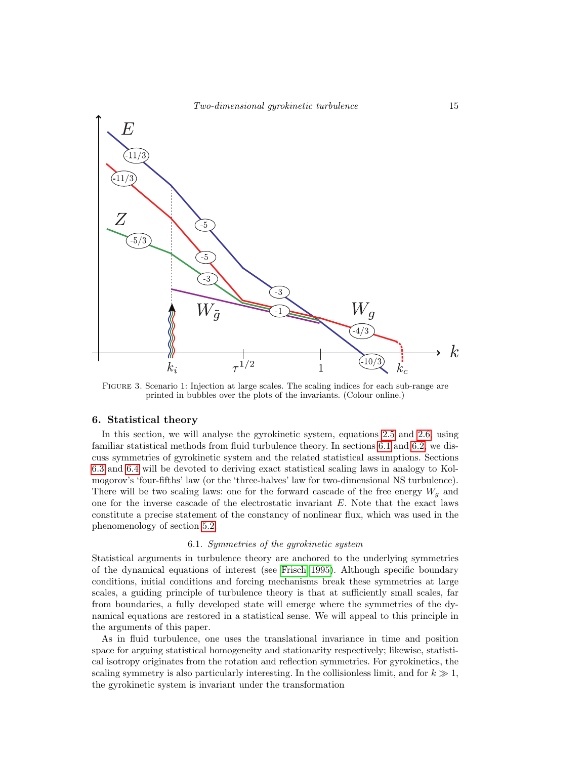

<span id="page-14-1"></span>Figure 3. Scenario 1: Injection at large scales. The scaling indices for each sub-range are printed in bubbles over the plots of the invariants. (Colour online.)

### <span id="page-14-0"></span>6. Statistical theory

In this section, we will analyse the gyrokinetic system, equations [2.5](#page-5-1) and [2.6,](#page-5-2) using familiar statistical methods from fluid turbulence theory. In sections [6.1](#page-14-2) and [6.2,](#page-15-1) we discuss symmetries of gyrokinetic system and the related statistical assumptions. Sections [6.3](#page-16-0) and [6.4](#page-17-0) will be devoted to deriving exact statistical scaling laws in analogy to Kolmogorov's 'four-fifths' law (or the 'three-halves' law for two-dimensional NS turbulence). There will be two scaling laws: one for the forward cascade of the free energy  $W<sub>q</sub>$  and one for the inverse cascade of the electrostatic invariant  $E$ . Note that the exact laws constitute a precise statement of the constancy of nonlinear flux, which was used in the phenomenology of section [5.2.](#page-10-1)

#### 6.1. Symmetries of the gyrokinetic system

<span id="page-14-2"></span>Statistical arguments in turbulence theory are anchored to the underlying symmetries of the dynamical equations of interest (see [Frisch 1995\)](#page-28-17). Although specific boundary conditions, initial conditions and forcing mechanisms break these symmetries at large scales, a guiding principle of turbulence theory is that at sufficiently small scales, far from boundaries, a fully developed state will emerge where the symmetries of the dynamical equations are restored in a statistical sense. We will appeal to this principle in the arguments of this paper.

As in fluid turbulence, one uses the translational invariance in time and position space for arguing statistical homogeneity and stationarity respectively; likewise, statistical isotropy originates from the rotation and reflection symmetries. For gyrokinetics, the scaling symmetry is also particularly interesting. In the collisionless limit, and for  $k \gg 1$ , the gyrokinetic system is invariant under the transformation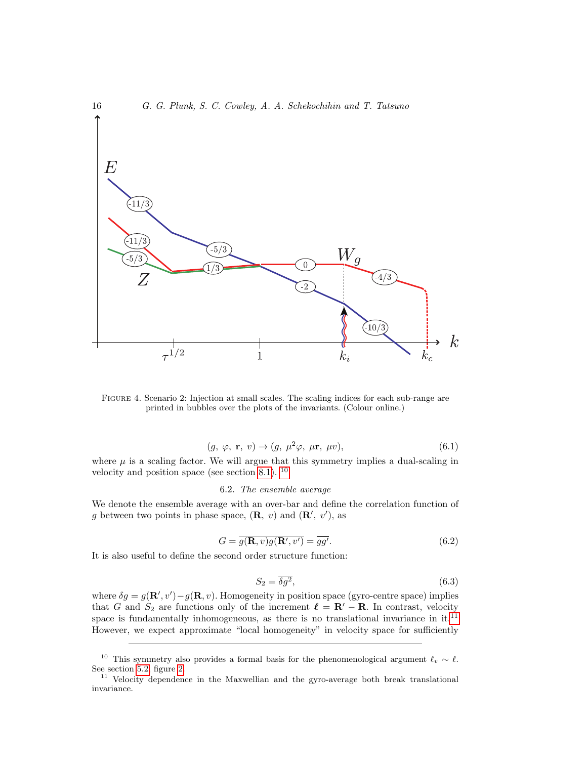

<span id="page-15-0"></span>Figure 4. Scenario 2: Injection at small scales. The scaling indices for each sub-range are printed in bubbles over the plots of the invariants. (Colour online.)

<span id="page-15-4"></span>
$$
(g, \varphi, \mathbf{r}, v) \to (g, \mu^2 \varphi, \mu \mathbf{r}, \mu v), \tag{6.1}
$$

where  $\mu$  is a scaling factor. We will argue that this symmetry implies a dual-scaling in velocity and position space (see section [8.1\)](#page-20-1).  $^{10}$  $^{10}$  $^{10}$ 

6.2. The ensemble average

<span id="page-15-1"></span>We denote the ensemble average with an over-bar and define the correlation function of g between two points in phase space,  $(\mathbf{R}, v)$  and  $(\mathbf{R}', v')$ , as

$$
G = \overline{g(\mathbf{R}, v)g(\mathbf{R}', v')} = \overline{gg'}.
$$
\n(6.2)

It is also useful to define the second order structure function:

$$
S_2 = \overline{\delta g^2},\tag{6.3}
$$

where  $\delta g = g(\mathbf{R}', v') - g(\mathbf{R}, v)$ . Homogeneity in position space (gyro-centre space) implies that G and  $S_2$  are functions only of the increment  $\ell = \mathbf{R}' - \mathbf{R}$ . In contrast, velocity space is fundamentally inhomogeneous, as there is no translational invariance in  $it$ .<sup>[11](#page-15-3)</sup> However, we expect approximate "local homogeneity" in velocity space for sufficiently

<span id="page-15-2"></span><sup>&</sup>lt;sup>10</sup> This symmetry also provides a formal basis for the phenomenological argument  $\ell_v \sim \ell$ . See section [5.2,](#page-10-1) figure [2.](#page-10-0)

<span id="page-15-3"></span><sup>&</sup>lt;sup>11</sup> Velocity dependence in the Maxwellian and the gyro-average both break translational invariance.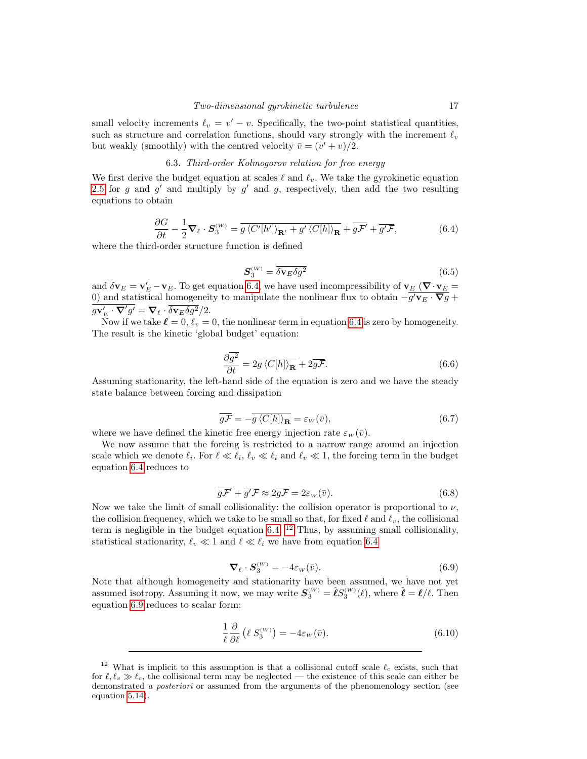small velocity increments  $\ell_v = v' - v$ . Specifically, the two-point statistical quantities, such as structure and correlation functions, should vary strongly with the increment  $\ell_v$ but weakly (smoothly) with the centred velocity  $\bar{v} = (v' + v)/2$ .

# 6.3. Third-order Kolmogorov relation for free energy

<span id="page-16-0"></span>We first derive the budget equation at scales  $\ell$  and  $\ell_v$ . We take the gyrokinetic equation [2.5](#page-5-1) for g and g' and multiply by g' and g, respectively, then add the two resulting equations to obtain

<span id="page-16-1"></span>
$$
\frac{\partial G}{\partial t} - \frac{1}{2} \nabla_{\ell} \cdot \mathbf{S}_{3}^{(W)} = \overline{g \left\langle C'[h']\right\rangle_{\mathbf{R}'} + g' \left\langle C[h]\right\rangle_{\mathbf{R}}} + \overline{g\mathcal{F}}' + \overline{g'\mathcal{F}},\tag{6.4}
$$

where the third-order structure function is defined

$$
\mathbf{S}_3^{(W)} = \overline{\delta \mathbf{v}_E \delta g^2} \tag{6.5}
$$

and  $\delta \mathbf{v}_E = \mathbf{v}'_E - \mathbf{v}_E$ . To get equation [6.4,](#page-16-1) we have used incompressibility of  $\mathbf{v}_E$  ( $\nabla \cdot \mathbf{v}_E$ ) 0) and statistical homogeneity to manipulate the nonlinear flux to obtain  $-g'v_E \cdot \nabla g +$  $g\mathbf{v}'_E\cdot\mathbf{\nabla}' g'=\mathbf{\nabla}_{\ell}\cdot\delta\mathbf{v}_E\delta g^2/2.$ 

Now if we take  $\ell = 0, \ell_v = 0$ , the nonlinear term in equation [6.4](#page-16-1) is zero by homogeneity. The result is the kinetic 'global budget' equation:

$$
\frac{\partial \overline{g^2}}{\partial t} = 2\overline{g} \langle C[h] \rangle_{\mathbf{R}} + 2\overline{g\mathcal{F}}.
$$
\n(6.6)

Assuming stationarity, the left-hand side of the equation is zero and we have the steady state balance between forcing and dissipation

$$
\overline{gF} = -\overline{g\left\langle C[h]\right\rangle_{\mathbf{R}}} = \varepsilon_{w}(\overline{v}),\tag{6.7}
$$

where we have defined the kinetic free energy injection rate  $\varepsilon_w(\bar{v})$ .

We now assume that the forcing is restricted to a narrow range around an injection scale which we denote  $\ell_i$ . For  $\ell \ll \ell_i$ ,  $\ell_v \ll \ell_i$  and  $\ell_v \ll 1$ , the forcing term in the budget equation [6.4](#page-16-1) reduces to

$$
\overline{g\mathcal{F}} + \overline{g'\mathcal{F}} \approx 2\overline{g\mathcal{F}} = 2\varepsilon_w(\overline{v}).\tag{6.8}
$$

Now we take the limit of small collisionality: the collision operator is proportional to  $\nu$ , the collision frequency, which we take to be small so that, for fixed  $\ell$  and  $\ell_v$ , the collisional term is negligible in the budget equation [6.4.](#page-16-1)  $^{12}$  $^{12}$  $^{12}$  Thus, by assuming small collisionality, statistical stationarity,  $\ell_v \ll 1$  and  $\ell \ll \ell_i$  we have from equation [6.4](#page-16-1)

<span id="page-16-3"></span>
$$
\nabla_{\ell} \cdot \mathbf{S}_{3}^{(W)} = -4\varepsilon_{W}(\bar{v}). \tag{6.9}
$$

Note that although homogeneity and stationarity have been assumed, we have not yet assumed isotropy. Assuming it now, we may write  $S_3^{(W)} = \hat{\ell} S_3^{(W)}(\ell)$ , where  $\hat{\ell} = \ell/\ell$ . Then equation [6.9](#page-16-3) reduces to scalar form:

<span id="page-16-4"></span>
$$
\frac{1}{\ell} \frac{\partial}{\partial \ell} (\ell S_3^{(W)}) = -4\varepsilon_W(\bar{v}). \tag{6.10}
$$

<span id="page-16-2"></span><sup>&</sup>lt;sup>12</sup> What is implicit to this assumption is that a collisional cutoff scale  $\ell_c$  exists, such that for  $\ell, \ell_v \gg \ell_c$ , the collisional term may be neglected — the existence of this scale can either be demonstrated a *posteriori* or assumed from the arguments of the phenomenology section (see equation [5.14\)](#page-12-4).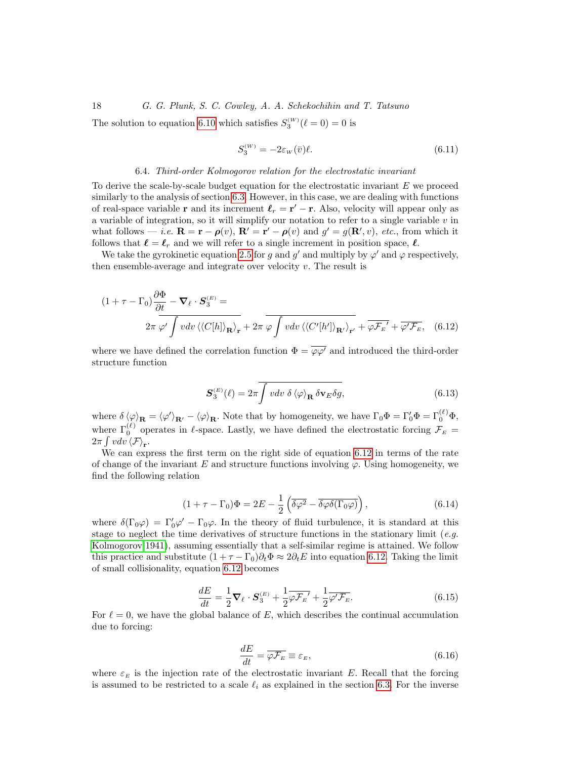The solution to equation [6.10](#page-16-4) which satisfies  $S_3^{(W)}(\ell=0) = 0$  is

<span id="page-17-1"></span>
$$
S_3^{(W)} = -2\varepsilon_W(\bar{v})\ell.
$$
\n(6.11)

#### 6.4. Third-order Kolmogorov relation for the electrostatic invariant

<span id="page-17-0"></span>To derive the scale-by-scale budget equation for the electrostatic invariant  $E$  we proceed similarly to the analysis of section [6.3.](#page-16-0) However, in this case, we are dealing with functions of real-space variable **r** and its increment  $\ell_r = \mathbf{r}' - \mathbf{r}$ . Also, velocity will appear only as a variable of integration, so it will simplify our notation to refer to a single variable  $v$  in what follows — *i.e.*  $\mathbf{R} = \mathbf{r} - \boldsymbol{\rho}(v)$ ,  $\mathbf{R}' = \mathbf{r}' - \boldsymbol{\rho}(v)$  and  $g' = g(\mathbf{R}', v)$ , *etc.*, from which it follows that  $\ell = \ell_r$  and we will refer to a single increment in position space,  $\ell$ .

We take the gyrokinetic equation [2.5](#page-5-1) for g and g' and multiply by  $\varphi'$  and  $\varphi$  respectively, then ensemble-average and integrate over velocity  $v$ . The result is

$$
(1 + \tau - \Gamma_0) \frac{\partial \Phi}{\partial t} - \nabla_{\ell} \cdot S_3^{(E)} =
$$
  

$$
2\pi \varphi' \int v dv \langle \langle C[h] \rangle_{\mathbf{R}} \rangle_{\mathbf{r}} + 2\pi \varphi \int v dv \langle \langle C'[h'] \rangle_{\mathbf{R'}} \rangle_{\mathbf{r'}} + \overline{\varphi \mathcal{F}_{E'}} + \overline{\varphi' \mathcal{F}_{E}}, \quad (6.12)
$$

where we have defined the correlation function  $\Phi = \overline{\varphi \varphi'}$  and introduced the third-order structure function

<span id="page-17-4"></span><span id="page-17-2"></span>
$$
\mathbf{S}_3^{(E)}(\ell) = 2\pi \overline{\int v dv \ \delta \langle \varphi \rangle_{\mathbf{R}} \delta \mathbf{v}_E \delta g},\tag{6.13}
$$

where  $\delta \langle \varphi \rangle_{\mathbf{R}} = \langle \varphi' \rangle_{\mathbf{R}'} - \langle \varphi \rangle_{\mathbf{R}}$ . Note that by homogeneity, we have  $\Gamma_0 \Phi = \Gamma'_0 \Phi = \Gamma'_0 \Phi$ , where  $\Gamma_0^{(\ell)}$  operates in  $\ell$ -space. Lastly, we have defined the electrostatic forcing  $\mathcal{F}_E$  =  $2\pi \int v dv \langle \mathcal{F} \rangle_{\mathbf{r}}.$ 

We can express the first term on the right side of equation [6.12](#page-17-2) in terms of the rate of change of the invariant E and structure functions involving  $\varphi$ . Using homogeneity, we find the following relation

$$
(1 + \tau - \Gamma_0)\Phi = 2E - \frac{1}{2} \left( \overline{\delta \varphi^2} - \overline{\delta \varphi \delta(\Gamma_0 \varphi)} \right), \qquad (6.14)
$$

where  $\delta(\Gamma_0\varphi) = \Gamma'_0\varphi' - \Gamma_0\varphi$ . In the theory of fluid turbulence, it is standard at this stage to neglect the time derivatives of structure functions in the stationary limit (e.g. [Kolmogorov 1941\)](#page-28-13), assuming essentially that a self-similar regime is attained. We follow this practice and substitute  $(1 + \tau - \Gamma_0)\partial_t \Phi \approx 2\partial_t E$  into equation [6.12.](#page-17-2) Taking the limit of small collisionality, equation [6.12](#page-17-2) becomes

<span id="page-17-3"></span>
$$
\frac{dE}{dt} = \frac{1}{2}\nabla_{\ell} \cdot \mathbf{S}_{3}^{(E)} + \frac{1}{2}\overline{\varphi \mathcal{F}_{E}}' + \frac{1}{2}\overline{\varphi' \mathcal{F}_{E}}.\tag{6.15}
$$

For  $\ell = 0$ , we have the global balance of E, which describes the continual accumulation due to forcing:

$$
\frac{dE}{dt} = \overline{\varphi \mathcal{F}_E} \equiv \varepsilon_E,\tag{6.16}
$$

where  $\varepsilon_E$  is the injection rate of the electrostatic invariant E. Recall that the forcing is assumed to be restricted to a scale  $\ell_i$  as explained in the section [6.3.](#page-16-0) For the inverse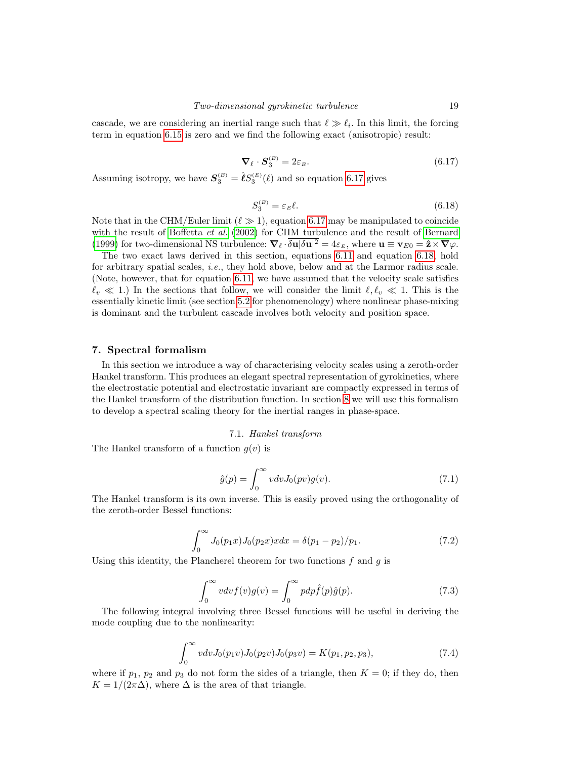cascade, we are considering an inertial range such that  $\ell \gg \ell_i$ . In this limit, the forcing term in equation [6.15](#page-17-3) is zero and we find the following exact (anisotropic) result:

<span id="page-18-2"></span>
$$
\nabla_{\ell} \cdot \mathbf{S}_{3}^{(E)} = 2\varepsilon_{E}.\tag{6.17}
$$

Assuming isotropy, we have  $S_3^{(E)} = \hat{\ell} S_3^{(E)}(\ell)$  and so equation [6.17](#page-18-2) gives

<span id="page-18-1"></span>
$$
S_3^{(E)} = \varepsilon_E \ell. \tag{6.18}
$$

Note that in the CHM/Euler limit  $(\ell \gg 1)$ , equation [6.17](#page-18-2) may be manipulated to coincide with the result of [Boffetta](#page-28-18) *et al.* [\(2002\)](#page-28-18) for CHM turbulence and the result of [Bernard](#page-28-19) [\(1999\)](#page-28-19) for two-dimensional NS turbulence:  $\nabla_{\ell} \cdot \delta \mathbf{u} | \delta \mathbf{u} |^2 = 4 \varepsilon_E$ , where  $\mathbf{u} \equiv \mathbf{v}_{E0} = \hat{\mathbf{z}} \times \nabla \varphi$ .

The two exact laws derived in this section, equations [6.11](#page-17-1) and equation [6.18,](#page-18-1) hold for arbitrary spatial scales, i.e., they hold above, below and at the Larmor radius scale. (Note, however, that for equation [6.11,](#page-17-1) we have assumed that the velocity scale satisfies  $\ell_v \ll 1$ .) In the sections that follow, we will consider the limit  $\ell, \ell_v \ll 1$ . This is the essentially kinetic limit (see section [5.2](#page-10-1) for phenomenology) where nonlinear phase-mixing is dominant and the turbulent cascade involves both velocity and position space.

# <span id="page-18-0"></span>7. Spectral formalism

In this section we introduce a way of characterising velocity scales using a zeroth-order Hankel transform. This produces an elegant spectral representation of gyrokinetics, where the electrostatic potential and electrostatic invariant are compactly expressed in terms of the Hankel transform of the distribution function. In section [8](#page-20-0) we will use this formalism to develop a spectral scaling theory for the inertial ranges in phase-space.

### 7.1. Hankel transform

The Hankel transform of a function  $g(v)$  is

$$
\hat{g}(p) = \int_0^\infty v dv J_0(pv) g(v). \tag{7.1}
$$

The Hankel transform is its own inverse. This is easily proved using the orthogonality of the zeroth-order Bessel functions:

<span id="page-18-4"></span>
$$
\int_0^\infty J_0(p_1x)J_0(p_2x)x dx = \delta(p_1 - p_2)/p_1.
$$
\n(7.2)

Using this identity, the Plancherel theorem for two functions  $f$  and  $g$  is

<span id="page-18-5"></span>
$$
\int_0^\infty v dv f(v) g(v) = \int_0^\infty p dp \hat{f}(p) \hat{g}(p).
$$
 (7.3)

The following integral involving three Bessel functions will be useful in deriving the mode coupling due to the nonlinearity:

<span id="page-18-3"></span>
$$
\int_0^\infty v \, dv J_0(p_1 v) J_0(p_2 v) J_0(p_3 v) = K(p_1, p_2, p_3),\tag{7.4}
$$

where if  $p_1$ ,  $p_2$  and  $p_3$  do not form the sides of a triangle, then  $K = 0$ ; if they do, then  $K = 1/(2\pi\Delta)$ , where  $\Delta$  is the area of that triangle.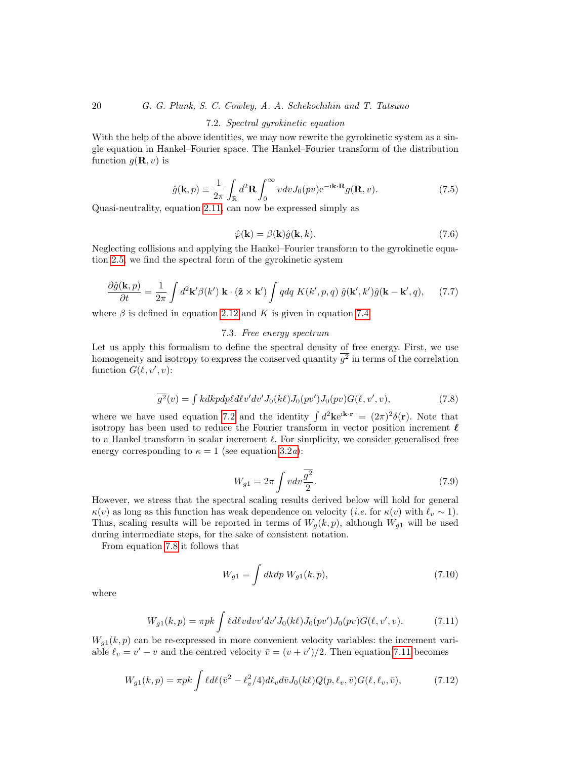# 7.2. Spectral gyrokinetic equation

With the help of the above identities, we may now rewrite the gyrokinetic system as a single equation in Hankel–Fourier space. The Hankel–Fourier transform of the distribution function  $g(\mathbf{R}, v)$  is

<span id="page-19-2"></span>
$$
\hat{g}(\mathbf{k}, p) \equiv \frac{1}{2\pi} \int_{\mathbb{R}} d^2 \mathbf{R} \int_0^{\infty} v dv J_0(pv) e^{-i\mathbf{k} \cdot \mathbf{R}} g(\mathbf{R}, v).
$$
 (7.5)

Quasi-neutrality, equation [2.11,](#page-5-5) can now be expressed simply as

<span id="page-19-3"></span>
$$
\hat{\varphi}(\mathbf{k}) = \beta(\mathbf{k})\hat{g}(\mathbf{k}, k). \tag{7.6}
$$

Neglecting collisions and applying the Hankel–Fourier transform to the gyrokinetic equation [2.5,](#page-5-1) we find the spectral form of the gyrokinetic system

$$
\frac{\partial \hat{g}(\mathbf{k}, p)}{\partial t} = \frac{1}{2\pi} \int d^2 \mathbf{k}' \beta(k') \mathbf{k} \cdot (\hat{\mathbf{z}} \times \mathbf{k}') \int q dq K(k', p, q) \, \hat{g}(\mathbf{k}', k') \hat{g}(\mathbf{k} - \mathbf{k}', q), \tag{7.7}
$$

where  $\beta$  is defined in equation [2.12](#page-5-7) and K is given in equation [7.4.](#page-18-3)

# 7.3. Free energy spectrum

Let us apply this formalism to define the spectral density of free energy. First, we use homogeneity and isotropy to express the conserved quantity  $g^2$  in terms of the correlation function  $G(\ell, v', v)$ :

<span id="page-19-0"></span>
$$
\overline{g^2}(v) = \int kdkpdp\ell d\ell v'dv'J_0(k\ell)J_0(pv')J_0(pv)G(\ell, v', v),\tag{7.8}
$$

where we have used equation [7.2](#page-18-4) and the identity  $\int d^2\mathbf{k} e^{i\mathbf{k}\cdot\mathbf{r}} = (2\pi)^2 \delta(\mathbf{r})$ . Note that isotropy has been used to reduce the Fourier transform in vector position increment  $\ell$ to a Hankel transform in scalar increment  $\ell$ . For simplicity, we consider generalised free energy corresponding to  $\kappa = 1$  (see equation [3.2](#page-6-3)*a*):

$$
W_{g1} = 2\pi \int v dv \frac{\overline{g^2}}{2}.
$$
\n(7.9)

However, we stress that the spectral scaling results derived below will hold for general  $\kappa(v)$  as long as this function has weak dependence on velocity (*i.e.* for  $\kappa(v)$  with  $\ell_v \sim 1$ ). Thus, scaling results will be reported in terms of  $W_g(k, p)$ , although  $W_{g1}$  will be used during intermediate steps, for the sake of consistent notation.

From equation [7.8](#page-19-0) it follows that

$$
W_{g1} = \int dk dp \; W_{g1}(k, p), \tag{7.10}
$$

where

<span id="page-19-1"></span>
$$
W_{g1}(k,p) = \pi p k \int \ell d\ell v dv' dv' J_0(k\ell) J_0(pv') J_0(pv) G(\ell, v', v). \tag{7.11}
$$

 $W_{g1}(k, p)$  can be re-expressed in more convenient velocity variables: the increment variable  $\ell_v = v' - v$  and the centred velocity  $\bar{v} = (v + v')/2$ . Then equation [7.11](#page-19-1) becomes

<span id="page-19-4"></span>
$$
W_{g1}(k,p) = \pi pk \int \ell d\ell (\bar{v}^2 - \ell_v^2/4) d\ell_v d\bar{v} J_0(k\ell) Q(p,\ell_v,\bar{v}) G(\ell,\ell_v,\bar{v}), \tag{7.12}
$$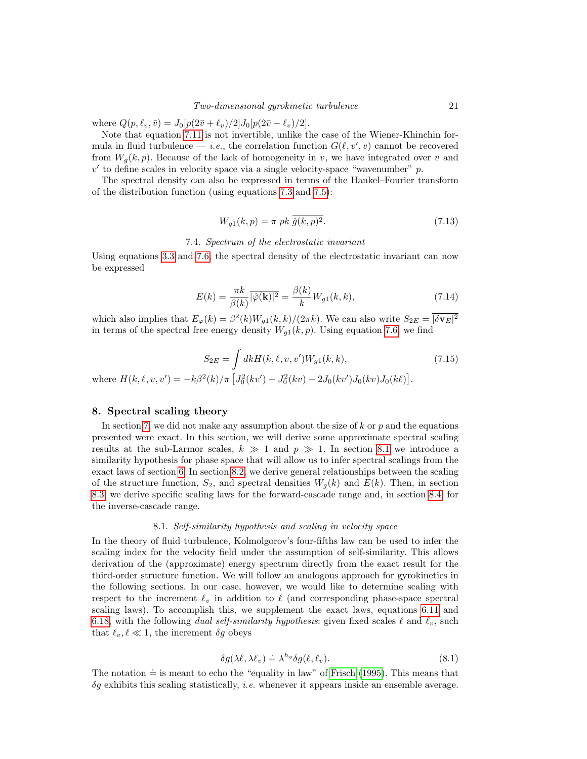where  $Q(p, \ell_v, \bar{v}) = J_0[p(2\bar{v} + \ell_v)/2]J_0[p(2\bar{v} - \ell_v)/2].$ 

Note that equation [7.11](#page-19-1) is not invertible, unlike the case of the Wiener-Khinchin formula in fluid turbulence — *i.e.*, the correlation function  $G(\ell, v', v)$  cannot be recovered from  $W_q(k, p)$ . Because of the lack of homogeneity in v, we have integrated over v and  $v'$  to define scales in velocity space via a single velocity-space "wavenumber"  $p$ .

The spectral density can also be expressed in terms of the Hankel–Fourier transform of the distribution function (using equations [7.3](#page-18-5) and [7.5\)](#page-19-2):

$$
W_{g1}(k,p) = \pi \ p k \ \overline{\hat{g}(k,p)^2}.\tag{7.13}
$$

### 7.4. Spectrum of the electrostatic invariant

Using equations [3.3](#page-6-0) and [7.6,](#page-19-3) the spectral density of the electrostatic invariant can now be expressed

<span id="page-20-4"></span>
$$
E(k) = \frac{\pi k}{\beta(k)} \overline{|\hat{\varphi}(\mathbf{k})|^2} = \frac{\beta(k)}{k} W_{g1}(k, k), \tag{7.14}
$$

which also implies that  $E_{\varphi}(k) = \beta^2(k)W_{g1}(k, k)/(2\pi k)$ . We can also write  $S_{2E} = |\delta \mathbf{v}_E|^2$ in terms of the spectral free energy density  $W_{q1}(k, p)$ . Using equation [7.6,](#page-19-3) we find

<span id="page-20-3"></span>
$$
S_{2E} = \int dk H(k, \ell, v, v') W_{g1}(k, k), \qquad (7.15)
$$

where  $H(k, \ell, v, v') = -k\beta^2(k)/\pi \left[ J_0^2(kv') + J_0^2(kv) - 2J_0(kv')J_0(kv)J_0(k\ell) \right]$ .

# <span id="page-20-0"></span>8. Spectral scaling theory

In section [7,](#page-18-0) we did not make any assumption about the size of  $k$  or  $p$  and the equations presented were exact. In this section, we will derive some approximate spectral scaling results at the sub-Larmor scales,  $k \gg 1$  and  $p \gg 1$ . In section [8.1](#page-20-1) we introduce a similarity hypothesis for phase space that will allow us to infer spectral scalings from the exact laws of section [6.](#page-14-0) In section [8.2,](#page-21-0) we derive general relationships between the scaling of the structure function,  $S_2$ , and spectral densities  $W_g(k)$  and  $E(k)$ . Then, in section [8.3,](#page-22-0) we derive specific scaling laws for the forward-cascade range and, in section [8.4,](#page-23-0) for the inverse-cascade range.

# 8.1. Self-similarity hypothesis and scaling in velocity space

<span id="page-20-1"></span>In the theory of fluid turbulence, Kolmolgorov's four-fifths law can be used to infer the scaling index for the velocity field under the assumption of self-similarity. This allows derivation of the (approximate) energy spectrum directly from the exact result for the third-order structure function. We will follow an analogous approach for gyrokinetics in the following sections. In our case, however, we would like to determine scaling with respect to the increment  $\ell_v$  in addition to  $\ell$  (and corresponding phase-space spectral scaling laws). To accomplish this, we supplement the exact laws, equations [6.11](#page-17-1) and [6.18,](#page-18-1) with the following dual self-similarity hypothesis: given fixed scales  $\ell$  and  $\ell_v$ , such that  $\ell_v, \ell \ll 1$ , the increment  $\delta g$  obeys

<span id="page-20-2"></span>
$$
\delta g(\lambda \ell, \lambda \ell_v) \doteq \lambda^{h_g} \delta g(\ell, \ell_v). \tag{8.1}
$$

The notation  $\dot{=}$  is meant to echo the "equality in law" of [Frisch \(1995\)](#page-28-17). This means that  $\delta g$  exhibits this scaling statistically, *i.e.* whenever it appears inside an ensemble average.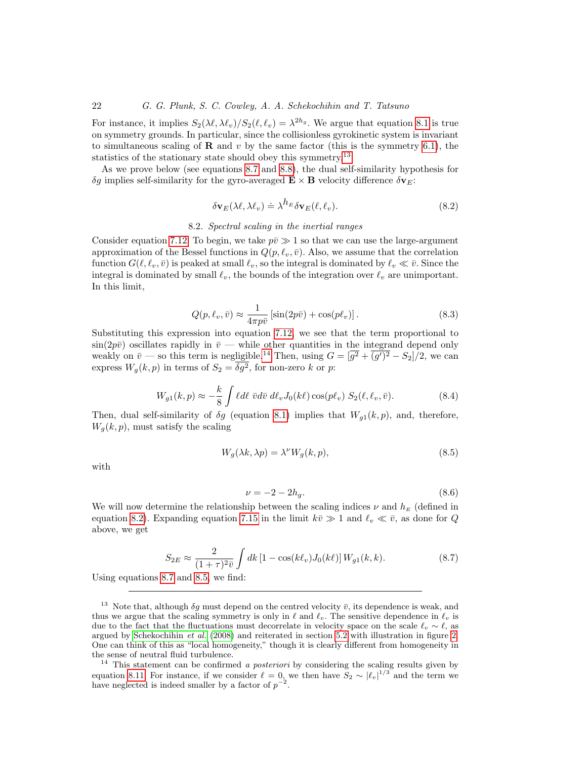For instance, it implies  $S_2(\lambda \ell, \lambda \ell_v)/S_2(\ell, \ell_v) = \lambda^{2h_g}$ . We argue that equation [8.1](#page-20-2) is true on symmetry grounds. In particular, since the collisionless gyrokinetic system is invariant to simultaneous scaling of **R** and v by the same factor (this is the symmetry [6.1\)](#page-15-4), the statistics of the stationary state should obey this symmetry.<sup>[13](#page-21-1)</sup>

As we prove below (see equations [8.7](#page-21-2) and [8.8\)](#page-22-1), the dual self-similarity hypothesis for  $\delta g$  implies self-similarity for the gyro-averaged  $\mathbf{E} \times \mathbf{B}$  velocity difference  $\delta \mathbf{v}_E$ :

<span id="page-21-4"></span>
$$
\delta \mathbf{v}_E(\lambda \ell, \lambda \ell_v) \doteq \lambda^{h_E} \delta \mathbf{v}_E(\ell, \ell_v).
$$
\n(8.2)

## 8.2. Spectral scaling in the inertial ranges

<span id="page-21-0"></span>Consider equation [7.12.](#page-19-4) To begin, we take  $p\bar{v}\gg 1$  so that we can use the large-argument approximation of the Bessel functions in  $Q(p, \ell_v, \bar{v})$ . Also, we assume that the correlation function  $G(\ell, \ell_v, \bar{v})$  is peaked at small  $\ell_v$ , so the integral is dominated by  $\ell_v \ll \bar{v}$ . Since the integral is dominated by small  $\ell_v$ , the bounds of the integration over  $\ell_v$  are unimportant. In this limit,

$$
Q(p, \ell_v, \bar{v}) \approx \frac{1}{4\pi p \bar{v}} \left[ \sin(2p\bar{v}) + \cos(p\ell_v) \right]. \tag{8.3}
$$

Substituting this expression into equation [7.12,](#page-19-4) we see that the term proportional to  $\sin(2p\bar{v})$  oscillates rapidly in  $\bar{v}$  — while other quantities in the integrand depend only weakly on  $\bar{v}$  — so this term is negligible.<sup>[14](#page-21-3)</sup> Then, using  $G = [\overline{g^2} + \overline{(g')^2} - S_2]/2$ , we can express  $W_g(k, p)$  in terms of  $S_2 = \delta g^2$ , for non-zero k or p:

<span id="page-21-7"></span>
$$
W_{g1}(k,p) \approx -\frac{k}{8} \int \ell d\ell \ \bar{v} d\bar{v} \ d\ell_v J_0(k\ell) \cos(p\ell_v) S_2(\ell, \ell_v, \bar{v}). \tag{8.4}
$$

Then, dual self-similarity of  $\delta g$  (equation [8.1\)](#page-20-2) implies that  $W_{g1}(k, p)$ , and, therefore,  $W_q(k, p)$ , must satisfy the scaling

<span id="page-21-5"></span>
$$
W_g(\lambda k, \lambda p) = \lambda^{\nu} W_g(k, p), \qquad (8.5)
$$

with

<span id="page-21-6"></span>
$$
\nu = -2 - 2h_g. \tag{8.6}
$$

We will now determine the relationship between the scaling indices  $\nu$  and  $h_E$  (defined in equation [8.2\)](#page-21-4). Expanding equation [7.15](#page-20-3) in the limit  $k\bar{v} \gg 1$  and  $\ell_v \ll \bar{v}$ , as done for Q above, we get

<span id="page-21-2"></span>
$$
S_{2E} \approx \frac{2}{(1+\tau)^{2}\bar{v}} \int dk \left[1 - \cos(k\ell_{v})J_{0}(k\ell)\right] W_{g1}(k,k). \tag{8.7}
$$

Using equations [8.7](#page-21-2) and [8.5,](#page-21-5) we find:

<span id="page-21-1"></span><sup>&</sup>lt;sup>13</sup> Note that, although  $\delta g$  must depend on the centred velocity  $\bar{v}$ , its dependence is weak, and thus we argue that the scaling symmetry is only in  $\ell$  and  $\ell_v$ . The sensitive dependence in  $\ell_v$  is due to the fact that the fluctuations must decorrelate in velocity space on the scale  $\ell_v \sim \ell$ , as argued by [Schekochihin](#page-29-2) et al. [\(2008\)](#page-29-2) and reiterated in section [5.2](#page-10-1) with illustration in figure [2.](#page-10-0) One can think of this as "local homogeneity," though it is clearly different from homogeneity in the sense of neutral fluid turbulence.

<span id="page-21-3"></span> $14$  This statement can be confirmed a posteriori by considering the scaling results given by equation [8.11.](#page-22-2) For instance, if we consider  $\ell = 0$ , we then have  $S_2 \sim |\ell_v|^{1/3}$  and the term we have neglected is indeed smaller by a factor of  $p^{-2}$ .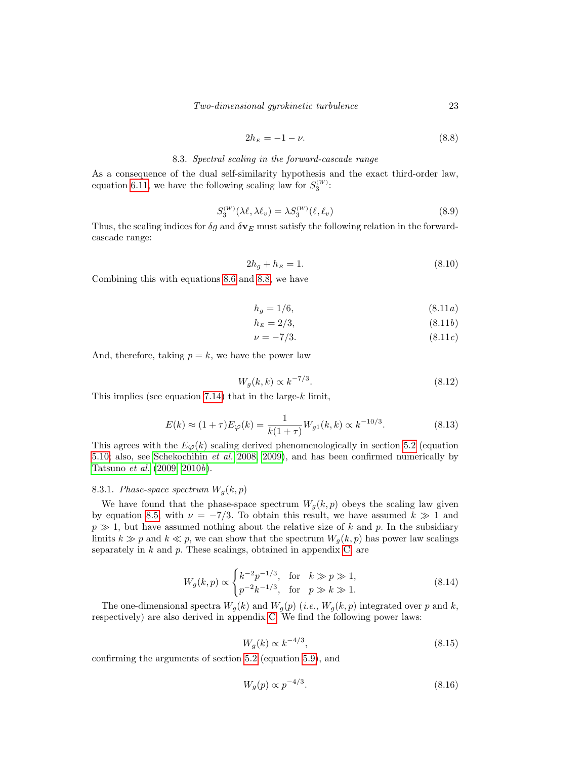<span id="page-22-1"></span>
$$
2h_E = -1 - \nu. \tag{8.8}
$$

# 8.3. Spectral scaling in the forward-cascade range

<span id="page-22-0"></span>As a consequence of the dual self-similarity hypothesis and the exact third-order law, equation [6.11,](#page-17-1) we have the following scaling law for  $S_3^{(W)}$ :

$$
S_3^{(W)}(\lambda \ell, \lambda \ell_v) = \lambda S_3^{(W)}(\ell, \ell_v)
$$
\n(8.9)

Thus, the scaling indices for  $\delta g$  and  $\delta v_E$  must satisfy the following relation in the forwardcascade range:

$$
2h_g + h_E = 1.\t(8.10)
$$

<span id="page-22-2"></span>Combining this with equations [8.6](#page-21-6) and [8.8,](#page-22-1) we have

$$
h_g = 1/6,\tag{8.11a}
$$

$$
h_E = 2/3, \t\t(8.11b)
$$

$$
\nu = -7/3.\tag{8.11c}
$$

And, therefore, taking  $p = k$ , we have the power law

$$
W_g(k,k) \propto k^{-7/3}.\tag{8.12}
$$

This implies (see equation [7.14\)](#page-20-4) that in the large- $k$  limit,

$$
E(k) \approx (1+\tau)E_{\varphi}(k) = \frac{1}{k(1+\tau)}W_{g1}(k,k) \propto k^{-10/3}.
$$
 (8.13)

This agrees with the  $E_{\varphi}(k)$  scaling derived phenomenologically in section [5.2](#page-10-1) (equation [5.10;](#page-11-4) also, see [Schekochihin](#page-29-2) et al. [2008,](#page-29-2) [2009\)](#page-29-4), and has been confirmed numerically by [Tatsuno](#page-29-3) et al. [\(2009,](#page-29-3) [2010](#page-29-11)b).

# <span id="page-22-4"></span>8.3.1. Phase-space spectrum  $W_q(k,p)$

We have found that the phase-space spectrum  $W_q(k, p)$  obeys the scaling law given by equation [8.5,](#page-21-5) with  $\nu = -7/3$ . To obtain this result, we have assumed  $k \gg 1$  and  $p \gg 1$ , but have assumed nothing about the relative size of k and p. In the subsidiary limits  $k \gg p$  and  $k \ll p$ , we can show that the spectrum  $W_q(k, p)$  has power law scalings separately in  $k$  and  $p$ . These scalings, obtained in appendix [C,](#page-27-1) are

<span id="page-22-3"></span>
$$
W_g(k, p) \propto \begin{cases} k^{-2} p^{-1/3}, & \text{for } k \gg p \gg 1, \\ p^{-2} k^{-1/3}, & \text{for } p \gg k \gg 1. \end{cases}
$$
 (8.14)

The one-dimensional spectra  $W_g(k)$  and  $W_g(p)$  (*i.e.*,  $W_g(k,p)$  integrated over p and k, respectively) are also derived in appendix [C.](#page-27-1) We find the following power laws:

<span id="page-22-5"></span>
$$
W_g(k) \propto k^{-4/3},\tag{8.15}
$$

confirming the arguments of section [5.2](#page-10-1) (equation [5.9\)](#page-11-5), and

<span id="page-22-6"></span>
$$
W_g(p) \propto p^{-4/3}.\tag{8.16}
$$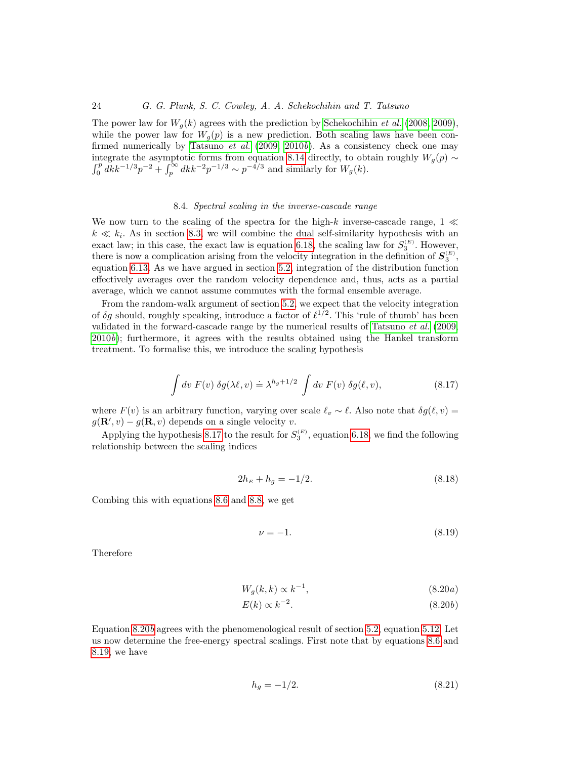The power law for  $W_q(k)$  agrees with the prediction by [Schekochihin](#page-29-2) *et al.* [\(2008,](#page-29-2) [2009\)](#page-29-4), while the power law for  $W_g(p)$  is a new prediction. Both scaling laws have been con-firmed numerically by [Tatsuno](#page-29-3) *et al.* [\(2009,](#page-29-3) [2010](#page-29-11)b). As a consistency check one may integrate the asymptotic forms from equation [8.14](#page-22-3) directly, to obtain roughly  $W_g(p) \sim \int_0^p dk k^{-1/3} p^{-2} + \int_p^{\infty} dk k^{-2} p^{-1/3} \sim p^{-4/3}$  and similarly for  $W_g(k)$ .

# 8.4. Spectral scaling in the inverse-cascade range

<span id="page-23-0"></span>We now turn to the scaling of the spectra for the high-k inverse-cascade range,  $1 \ll$  $k \ll k_i$ . As in section [8.3,](#page-22-0) we will combine the dual self-similarity hypothesis with an exact law; in this case, the exact law is equation [6.18,](#page-18-1) the scaling law for  $S_3^{(E)}$ . However, there is now a complication arising from the velocity integration in the definition of  $S_3^{(E)}$ , equation [6.13.](#page-17-4) As we have argued in section [5.2,](#page-10-1) integration of the distribution function effectively averages over the random velocity dependence and, thus, acts as a partial average, which we cannot assume commutes with the formal ensemble average.

From the random-walk argument of section [5.2,](#page-10-1) we expect that the velocity integration of  $\delta g$  should, roughly speaking, introduce a factor of  $\ell^{1/2}$ . This 'rule of thumb' has been validated in the forward-cascade range by the numerical results of [Tatsuno](#page-29-3)  $et$  al. [\(2009,](#page-29-3)  $2010b$  $2010b$ ; furthermore, it agrees with the results obtained using the Hankel transform treatment. To formalise this, we introduce the scaling hypothesis

<span id="page-23-1"></span>
$$
\int dv F(v) \delta g(\lambda \ell, v) \doteq \lambda^{h_g + 1/2} \int dv F(v) \delta g(\ell, v), \tag{8.17}
$$

where  $F(v)$  is an arbitrary function, varying over scale  $\ell_v \sim \ell$ . Also note that  $\delta g(\ell, v)$  =  $g(\mathbf{R}', v) - g(\mathbf{R}, v)$  depends on a single velocity v.

Applying the hypothesis [8.17](#page-23-1) to the result for  $S_3^{(E)}$ , equation [6.18,](#page-18-1) we find the following relationship between the scaling indices

$$
2h_E + h_g = -1/2. \tag{8.18}
$$

Combing this with equations [8.6](#page-21-6) and [8.8,](#page-22-1) we get

<span id="page-23-2"></span>
$$
\nu = -1.\tag{8.19}
$$

Therefore

$$
W_g(k,k) \propto k^{-1},\tag{8.20a}
$$

$$
E(k) \propto k^{-2}.\tag{8.20b}
$$

Equation [8.20](#page-21-4)b agrees with the phenomenological result of section [5.2,](#page-10-1) equation [5.12.](#page-11-3) Let us now determine the free-energy spectral scalings. First note that by equations [8.6](#page-21-6) and [8.19,](#page-23-2) we have

$$
h_g = -1/2. \t\t(8.21)
$$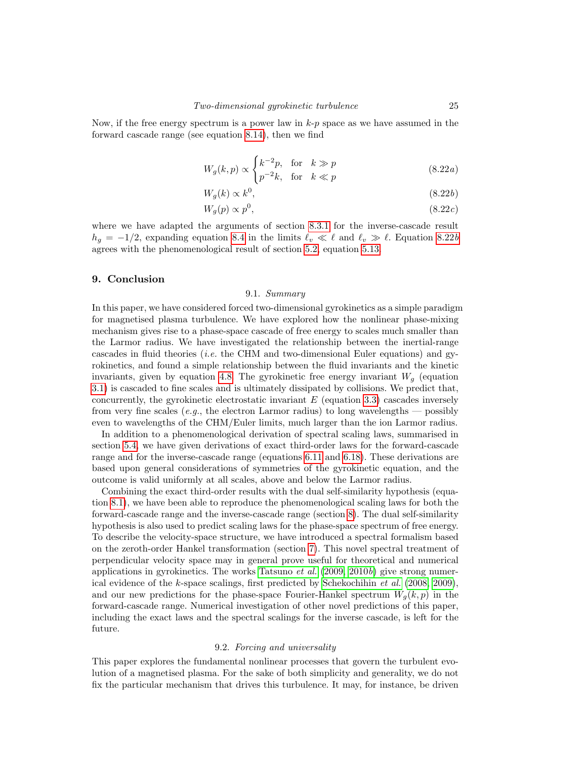Now, if the free energy spectrum is a power law in  $k-p$  space as we have assumed in the forward cascade range (see equation [8.14\)](#page-22-3), then we find

$$
W_g(k,p) \propto \begin{cases} k^{-2}p, & \text{for } k \gg p \\ p^{-2}k, & \text{for } k \ll p \end{cases}
$$
 (8.22*a*)

$$
W_g(k) \propto k^0,\tag{8.22b}
$$

$$
W_g(p) \propto p^0,\tag{8.22c}
$$

where we have adapted the arguments of section [8.3.1](#page-22-4) for the inverse-cascade result  $h_q = -1/2$ , expanding equation [8.4](#page-21-7) in the limits  $\ell_v \ll \ell$  and  $\ell_v \gg \ell$ . Equation [8.22](#page-21-4)b agrees with the phenomenological result of section [5.2,](#page-10-1) equation [5.13.](#page-12-5)

# 9. Conclusion

# 9.1. Summary

In this paper, we have considered forced two-dimensional gyrokinetics as a simple paradigm for magnetised plasma turbulence. We have explored how the nonlinear phase-mixing mechanism gives rise to a phase-space cascade of free energy to scales much smaller than the Larmor radius. We have investigated the relationship between the inertial-range cascades in fluid theories *(i.e.* the CHM and two-dimensional Euler equations) and gyrokinetics, and found a simple relationship between the fluid invariants and the kinetic invariants, given by equation [4.8.](#page-8-3) The gyrokinetic free energy invariant  $W_q$  (equation [3.1\)](#page-6-3) is cascaded to fine scales and is ultimately dissipated by collisions. We predict that, concurrently, the gyrokinetic electrostatic invariant  $E$  (equation [3.3\)](#page-6-0) cascades inversely from very fine scales (e.g., the electron Larmor radius) to long wavelengths — possibly even to wavelengths of the CHM/Euler limits, much larger than the ion Larmor radius.

In addition to a phenomenological derivation of spectral scaling laws, summarised in section [5.4,](#page-12-0) we have given derivations of exact third-order laws for the forward-cascade range and for the inverse-cascade range (equations [6.11](#page-17-1) and [6.18\)](#page-18-1). These derivations are based upon general considerations of symmetries of the gyrokinetic equation, and the outcome is valid uniformly at all scales, above and below the Larmor radius.

Combining the exact third-order results with the dual self-similarity hypothesis (equation [8.1\)](#page-20-2), we have been able to reproduce the phenomenological scaling laws for both the forward-cascade range and the inverse-cascade range (section [8\)](#page-20-0). The dual self-similarity hypothesis is also used to predict scaling laws for the phase-space spectrum of free energy. To describe the velocity-space structure, we have introduced a spectral formalism based on the zeroth-order Hankel transformation (section [7\)](#page-18-0). This novel spectral treatment of perpendicular velocity space may in general prove useful for theoretical and numerical applications in gyrokinetics. The works [Tatsuno](#page-29-3) *et al.*  $(2009, 2010b)$  $(2009, 2010b)$  $(2009, 2010b)$  give strong numerical evidence of the k-space scalings, first predicted by [Schekochihin](#page-29-2) et al. [\(2008,](#page-29-2) [2009\)](#page-29-4), and our new predictions for the phase-space Fourier-Hankel spectrum  $W_q(k, p)$  in the forward-cascade range. Numerical investigation of other novel predictions of this paper, including the exact laws and the spectral scalings for the inverse cascade, is left for the future.

### 9.2. Forcing and universality

This paper explores the fundamental nonlinear processes that govern the turbulent evolution of a magnetised plasma. For the sake of both simplicity and generality, we do not fix the particular mechanism that drives this turbulence. It may, for instance, be driven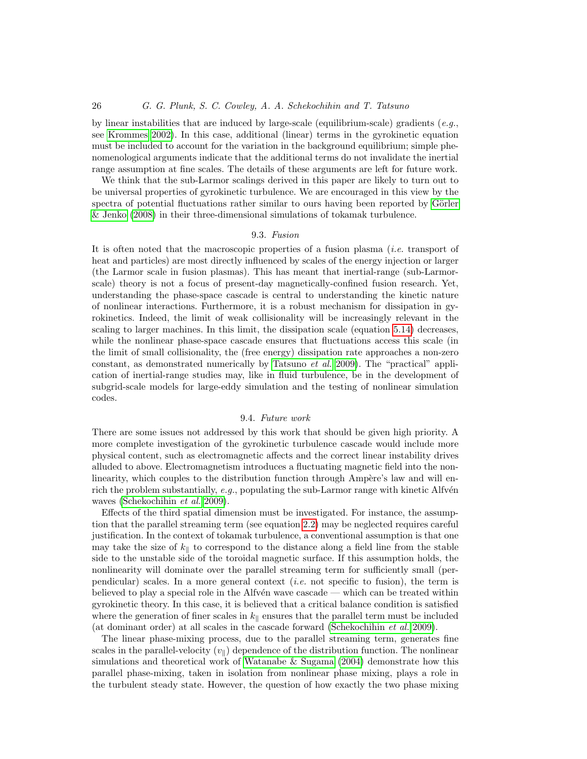by linear instabilities that are induced by large-scale (equilibrium-scale) gradients (e.g., see [Krommes 2002\)](#page-28-6). In this case, additional (linear) terms in the gyrokinetic equation must be included to account for the variation in the background equilibrium; simple phenomenological arguments indicate that the additional terms do not invalidate the inertial range assumption at fine scales. The details of these arguments are left for future work.

We think that the sub-Larmor scalings derived in this paper are likely to turn out to be universal properties of gyrokinetic turbulence. We are encouraged in this view by the spectra of potential fluctuations rather similar to ours having been reported by Görler [& Jenko \(2008\)](#page-28-20) in their three-dimensional simulations of tokamak turbulence.

### 9.3. Fusion

It is often noted that the macroscopic properties of a fusion plasma (i.e. transport of heat and particles) are most directly influenced by scales of the energy injection or larger (the Larmor scale in fusion plasmas). This has meant that inertial-range (sub-Larmorscale) theory is not a focus of present-day magnetically-confined fusion research. Yet, understanding the phase-space cascade is central to understanding the kinetic nature of nonlinear interactions. Furthermore, it is a robust mechanism for dissipation in gyrokinetics. Indeed, the limit of weak collisionality will be increasingly relevant in the scaling to larger machines. In this limit, the dissipation scale (equation [5.14\)](#page-12-4) decreases, while the nonlinear phase-space cascade ensures that fluctuations access this scale (in the limit of small collisionality, the (free energy) dissipation rate approaches a non-zero constant, as demonstrated numerically by [Tatsuno](#page-29-3) et al. [2009\)](#page-29-3). The "practical" application of inertial-range studies may, like in fluid turbulence, be in the development of subgrid-scale models for large-eddy simulation and the testing of nonlinear simulation codes.

# 9.4. Future work

<span id="page-25-0"></span>There are some issues not addressed by this work that should be given high priority. A more complete investigation of the gyrokinetic turbulence cascade would include more physical content, such as electromagnetic affects and the correct linear instability drives alluded to above. Electromagnetism introduces a fluctuating magnetic field into the nonlinearity, which couples to the distribution function through Ampère's law and will enrich the problem substantially,  $e.g.,$  populating the sub-Larmor range with kinetic Alfvén waves [\(Schekochihin](#page-29-4) et al. [2009\)](#page-29-4).

Effects of the third spatial dimension must be investigated. For instance, the assumption that the parallel streaming term (see equation [2.2\)](#page-4-3) may be neglected requires careful justification. In the context of tokamak turbulence, a conventional assumption is that one may take the size of  $k_{\parallel}$  to correspond to the distance along a field line from the stable side to the unstable side of the toroidal magnetic surface. If this assumption holds, the nonlinearity will dominate over the parallel streaming term for sufficiently small (perpendicular) scales. In a more general context *(i.e.* not specific to fusion), the term is believed to play a special role in the Alfv $\acute{e}$ n wave cascade — which can be treated within gyrokinetic theory. In this case, it is believed that a critical balance condition is satisfied where the generation of finer scales in  $k_{\parallel}$  ensures that the parallel term must be included (at dominant order) at all scales in the cascade forward [\(Schekochihin](#page-29-4) et al. [2009\)](#page-29-4).

The linear phase-mixing process, due to the parallel streaming term, generates fine scales in the parallel-velocity  $(v_{\parallel})$  dependence of the distribution function. The nonlinear simulations and theoretical work of [Watanabe & Sugama \(2004\)](#page-29-13) demonstrate how this parallel phase-mixing, taken in isolation from nonlinear phase mixing, plays a role in the turbulent steady state. However, the question of how exactly the two phase mixing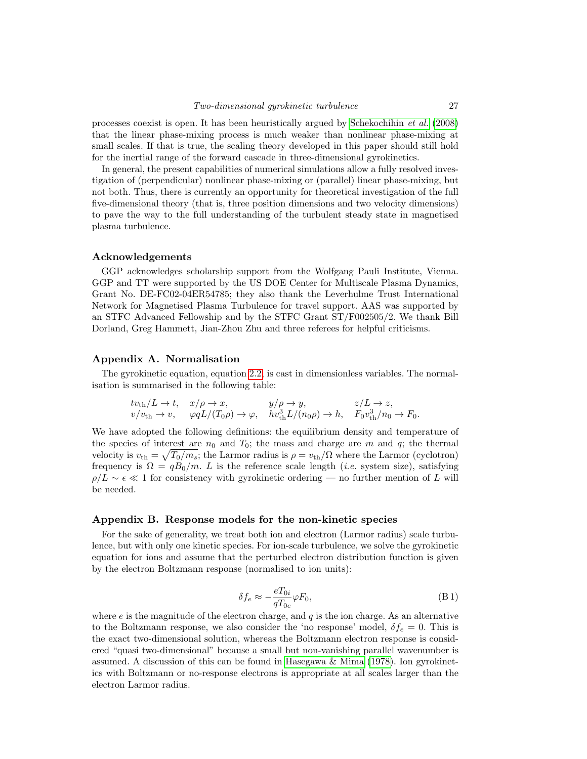processes coexist is open. It has been heuristically argued by [Schekochihin](#page-29-2) et al. [\(2008\)](#page-29-2) that the linear phase-mixing process is much weaker than nonlinear phase-mixing at small scales. If that is true, the scaling theory developed in this paper should still hold for the inertial range of the forward cascade in three-dimensional gyrokinetics.

In general, the present capabilities of numerical simulations allow a fully resolved investigation of (perpendicular) nonlinear phase-mixing or (parallel) linear phase-mixing, but not both. Thus, there is currently an opportunity for theoretical investigation of the full five-dimensional theory (that is, three position dimensions and two velocity dimensions) to pave the way to the full understanding of the turbulent steady state in magnetised plasma turbulence.

# Acknowledgements

GGP acknowledges scholarship support from the Wolfgang Pauli Institute, Vienna. GGP and TT were supported by the US DOE Center for Multiscale Plasma Dynamics, Grant No. DE-FC02-04ER54785; they also thank the Leverhulme Trust International Network for Magnetised Plasma Turbulence for travel support. AAS was supported by an STFC Advanced Fellowship and by the STFC Grant ST/F002505/2. We thank Bill Dorland, Greg Hammett, Jian-Zhou Zhu and three referees for helpful criticisms.

# <span id="page-26-0"></span>Appendix A. Normalisation

The gyrokinetic equation, equation [2.2,](#page-4-3) is cast in dimensionless variables. The normalisation is summarised in the following table:

$$
tv_{\text{th}}/L \to t, \quad x/\rho \to x, \qquad y/\rho \to y, \qquad z/L \to z, v/v_{\text{th}} \to v, \quad \varphi qL/(T_0\rho) \to \varphi, \quad hv_{\text{th}}^3 L/(n_0\rho) \to h, \quad F_0 v_{\text{th}}^3/n_0 \to F_0.
$$

We have adopted the following definitions: the equilibrium density and temperature of the species of interest are  $n_0$  and  $T_0$ ; the mass and charge are m and q; the thermal velocity is  $v_{\text{th}} = \sqrt{T_0/m_s}$ ; the Larmor radius is  $\rho = v_{\text{th}}/\Omega$  where the Larmor (cyclotron) frequency is  $\Omega = qB_0/m$ . L is the reference scale length (*i.e.* system size), satisfying  $\rho/L \sim \epsilon \ll 1$  for consistency with gyrokinetic ordering — no further mention of L will be needed.

# <span id="page-26-1"></span>Appendix B. Response models for the non-kinetic species

For the sake of generality, we treat both ion and electron (Larmor radius) scale turbulence, but with only one kinetic species. For ion-scale turbulence, we solve the gyrokinetic equation for ions and assume that the perturbed electron distribution function is given by the electron Boltzmann response (normalised to ion units):

$$
\delta f_e \approx -\frac{eT_{0i}}{qT_{0e}} \varphi F_0,\tag{B1}
$$

where  $e$  is the magnitude of the electron charge, and  $q$  is the ion charge. As an alternative to the Boltzmann response, we also consider the 'no response' model,  $\delta f_e = 0$ . This is the exact two-dimensional solution, whereas the Boltzmann electron response is considered "quasi two-dimensional" because a small but non-vanishing parallel wavenumber is assumed. A discussion of this can be found in [Hasegawa & Mima \(1978\)](#page-28-10). Ion gyrokinetics with Boltzmann or no-response electrons is appropriate at all scales larger than the electron Larmor radius.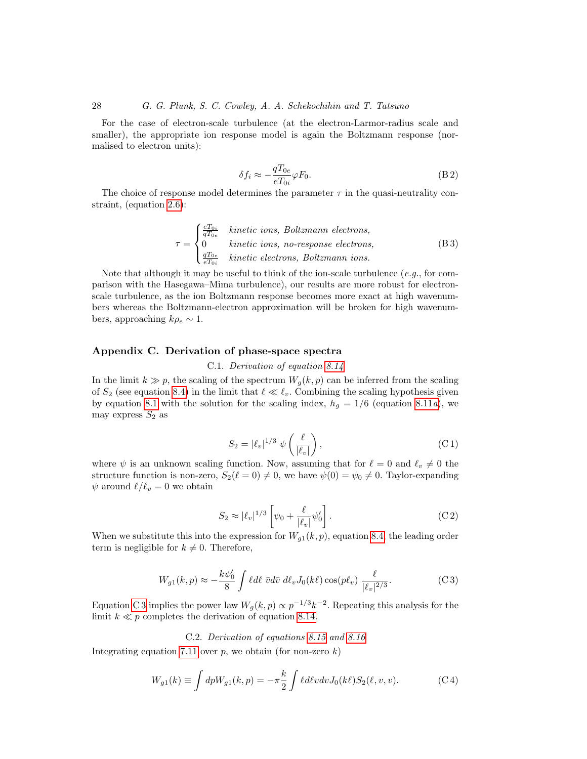For the case of electron-scale turbulence (at the electron-Larmor-radius scale and smaller), the appropriate ion response model is again the Boltzmann response (normalised to electron units):

$$
\delta f_i \approx -\frac{qT_{0e}}{eT_{0i}} \varphi F_0.
$$
\n(B2)

The choice of response model determines the parameter  $\tau$  in the quasi-neutrality constraint, (equation [2.6\)](#page-5-2):

<span id="page-27-0"></span>
$$
\tau = \begin{cases} \frac{eT_{0i}}{qT_{0e}} & kinetic ions, Boltzmann electrons, \\ 0 & kinetic ions, no-response electrons, \\ \frac{qT_{0e}}{eT_{0i}} & kinetic electrons, Boltzmann ions. \end{cases} \tag{B3}
$$

Note that although it may be useful to think of the ion-scale turbulence  $(e.g.,$  for comparison with the Hasegawa–Mima turbulence), our results are more robust for electronscale turbulence, as the ion Boltzmann response becomes more exact at high wavenumbers whereas the Boltzmann-electron approximation will be broken for high wavenumbers, approaching  $k\rho_e \sim 1$ .

# <span id="page-27-1"></span>Appendix C. Derivation of phase-space spectra

C.1. Derivation of equation [8.14](#page-22-3)

In the limit  $k \gg p$ , the scaling of the spectrum  $W_q(k, p)$  can be inferred from the scaling of  $S_2$  (see equation [8.4\)](#page-21-7) in the limit that  $\ell \ll \ell_v$ . Combining the scaling hypothesis given by equation [8.1](#page-20-2) with the solution for the scaling index,  $h<sub>g</sub> = 1/6$  (equation [8.11](#page-20-2)a), we may express  $S_2$  as

$$
S_2 = |\ell_v|^{1/3} \psi\left(\frac{\ell}{|\ell_v|}\right),\tag{C1}
$$

where  $\psi$  is an unknown scaling function. Now, assuming that for  $\ell = 0$  and  $\ell_v \neq 0$  the structure function is non-zero,  $S_2(\ell = 0) \neq 0$ , we have  $\psi(0) = \psi_0 \neq 0$ . Taylor-expanding  $\psi$  around  $\ell/\ell_v = 0$  we obtain

<span id="page-27-3"></span><span id="page-27-2"></span>
$$
S_2 \approx |\ell_v|^{1/3} \left[ \psi_0 + \frac{\ell}{|\ell_v|} \psi'_0 \right]. \tag{C2}
$$

When we substitute this into the expression for  $W_{g1}(k, p)$ , equation [8.4,](#page-21-7) the leading order term is negligible for  $k \neq 0$ . Therefore,

$$
W_{g1}(k,p) \approx -\frac{k\psi_0'}{8} \int \ell d\ell \ \bar{v} d\bar{v} \ d\ell_v J_0(k\ell) \cos(p\ell_v) \ \frac{\ell}{|\ell_v|^{2/3}}.
$$
 (C3)

Equation [C 3](#page-27-2) implies the power law  $W_g(k, p) \propto p^{-1/3} k^{-2}$ . Repeating this analysis for the limit  $k \ll p$  completes the derivation of equation [8.14.](#page-22-3)

# C.2. Derivation of equations [8.15](#page-22-5) and [8.16](#page-22-6)

Integrating equation [7.11](#page-19-1) over  $p$ , we obtain (for non-zero  $k$ )

$$
W_{g1}(k) \equiv \int dp W_{g1}(k, p) = -\pi \frac{k}{2} \int \ell d\ell v dv J_0(k\ell) S_2(\ell, v, v). \tag{C.4}
$$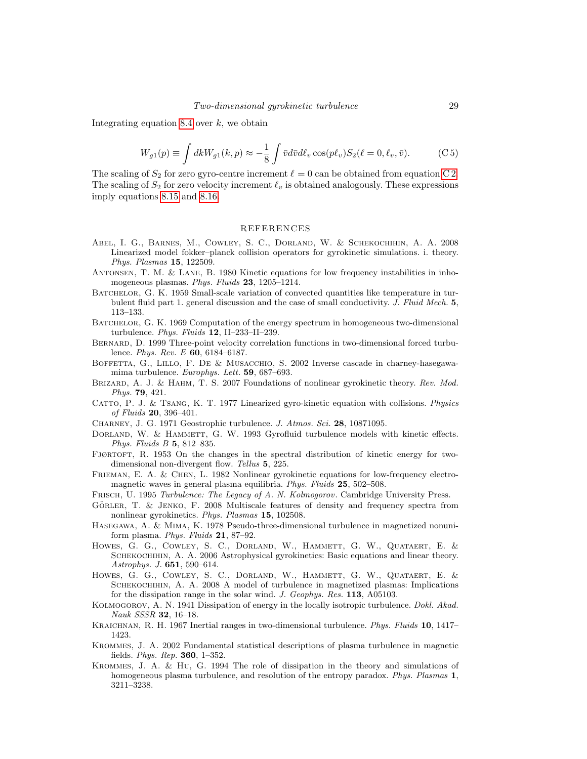Integrating equation [8.4](#page-21-7) over  $k$ , we obtain

$$
W_{g1}(p) \equiv \int dk W_{g1}(k, p) \approx -\frac{1}{8} \int \bar{v} d\bar{v} d\ell_v \cos(p\ell_v) S_2(\ell = 0, \ell_v, \bar{v}). \tag{C.5}
$$

The scaling of  $S_2$  for zero gyro-centre increment  $\ell = 0$  can be obtained from equation [C 2.](#page-27-3) The scaling of  $S_2$  for zero velocity increment  $\ell_v$  is obtained analogously. These expressions imply equations [8.15](#page-22-5) and [8.16.](#page-22-6)

# REFERENCES

- <span id="page-28-5"></span>Abel, I. G., Barnes, M., Cowley, S. C., Dorland, W. & Schekochihin, A. A. 2008 Linearized model fokker–planck collision operators for gyrokinetic simulations. i. theory. Phys. Plasmas 15, 122509.
- <span id="page-28-1"></span>Antonsen, T. M. & Lane, B. 1980 Kinetic equations for low frequency instabilities in inhomogeneous plasmas. Phys. Fluids 23, 1205-1214.
- <span id="page-28-16"></span>BATCHELOR, G. K. 1959 Small-scale variation of convected quantities like temperature in turbulent fluid part 1. general discussion and the case of small conductivity. J. Fluid Mech. 5, 113–133.
- <span id="page-28-12"></span>Batchelor, G. K. 1969 Computation of the energy spectrum in homogeneous two-dimensional turbulence. Phys. Fluids 12, II-233-II-239.
- <span id="page-28-19"></span>Bernard, D. 1999 Three-point velocity correlation functions in two-dimensional forced turbulence. *Phys. Rev. E* **60**, 6184-6187.
- <span id="page-28-18"></span>BOFFETTA, G., LILLO, F. DE & MUSACCHIO, S. 2002 Inverse cascade in charney-hasegawamima turbulence. Europhys. Lett. 59, 687–693.
- <span id="page-28-3"></span>BRIZARD, A. J. & HAHM, T. S. 2007 Foundations of nonlinear gyrokinetic theory. Rev. Mod. Phys. 79, 421.
- <span id="page-28-0"></span>CATTO, P. J. & TSANG, K. T. 1977 Linearized gyro-kinetic equation with collisions. Physics of Fluids 20, 396–401.
- <span id="page-28-9"></span>Charney, J. G. 1971 Geostrophic turbulence. J. Atmos. Sci. 28, 10871095.
- <span id="page-28-4"></span>DORLAND, W. & HAMMETT, G. W. 1993 Gyrofluid turbulence models with kinetic effects. Phys. Fluids B 5, 812–835.
- <span id="page-28-15"></span>FJØRTOFT, R. 1953 On the changes in the spectral distribution of kinetic energy for twodimensional non-divergent flow. Tellus 5, 225.
- <span id="page-28-2"></span>Frieman, E. A. & Chen, L. 1982 Nonlinear gyrokinetic equations for low-frequency electromagnetic waves in general plasma equilibria. Phys. Fluids 25, 502–508.
- <span id="page-28-17"></span>FRISCH, U. 1995 Turbulence: The Legacy of A. N. Kolmogorov. Cambridge University Press.
- <span id="page-28-20"></span>GÖRLER, T. & JENKO, F. 2008 Multiscale features of density and frequency spectra from nonlinear gyrokinetics. Phys. Plasmas 15, 102508.
- <span id="page-28-10"></span>Hasegawa, A. & Mima, K. 1978 Pseudo-three-dimensional turbulence in magnetized nonuniform plasma. Phys. Fluids  $21$ , 87–92.
- <span id="page-28-7"></span>Howes, G. G., Cowley, S. C., Dorland, W., Hammett, G. W., Quataert, E. & SCHEKOCHIHIN, A. A. 2006 Astrophysical gyrokinetics: Basic equations and linear theory. Astrophys. J. 651, 590–614.
- <span id="page-28-8"></span>Howes, G. G., Cowley, S. C., Dorland, W., Hammett, G. W., Quataert, E. & SCHEKOCHIHIN, A. A. 2008 A model of turbulence in magnetized plasmas: Implications for the dissipation range in the solar wind. J. Geophys. Res. 113, A05103.
- <span id="page-28-13"></span>KOLMOGOROV, A. N. 1941 Dissipation of energy in the locally isotropic turbulence. Dokl. Akad. Nauk SSSR 32, 16–18.
- <span id="page-28-11"></span>KRAICHNAN, R. H. 1967 Inertial ranges in two-dimensional turbulence. Phys. Fluids 10, 1417– 1423.
- <span id="page-28-6"></span>Krommes, J. A. 2002 Fundamental statistical descriptions of plasma turbulence in magnetic fields. Phys. Rep. 360, 1–352.
- <span id="page-28-14"></span>Krommes, J. A. & Hu, G. 1994 The role of dissipation in the theory and simulations of homogeneous plasma turbulence, and resolution of the entropy paradox. Phys. Plasmas 1, 3211–3238.